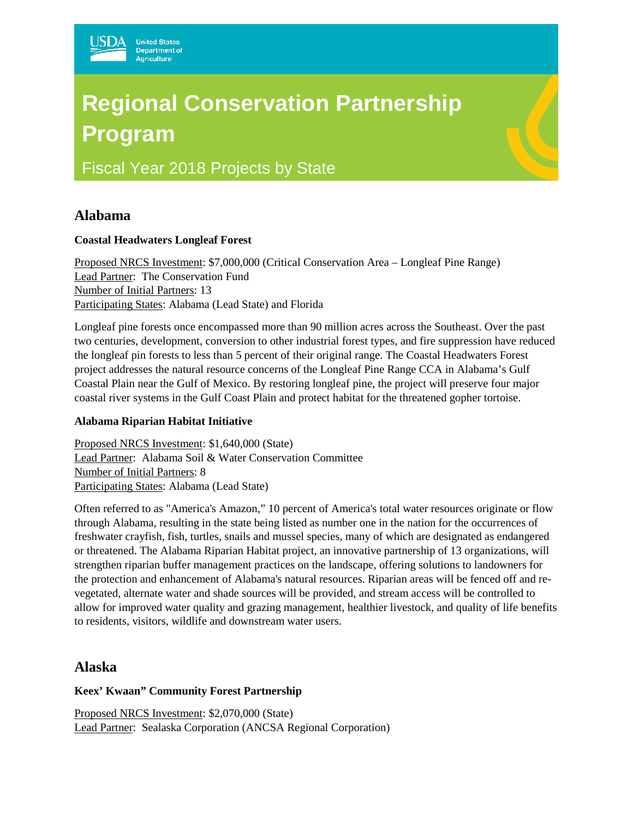# **Regional Conservation Partnership Program**

Fiscal Year 2018 Projects by State

# **Alabama**

### **Coastal Headwaters Longleaf Forest**

Proposed NRCS Investment: \$7,000,000 (Critical Conservation Area – Longleaf Pine Range) Lead Partner: The Conservation Fund Number of Initial Partners: 13 Participating States: Alabama (Lead State) and Florida

Longleaf pine forests once encompassed more than 90 million acres across the Southeast. Over the past two centuries, development, conversion to other industrial forest types, and fire suppression have reduced the longleaf pin forests to less than 5 percent of their original range. The Coastal Headwaters Forest project addresses the natural resource concerns of the Longleaf Pine Range CCA in Alabama's Gulf Coastal Plain near the Gulf of Mexico. By restoring longleaf pine, the project will preserve four major coastal river systems in the Gulf Coast Plain and protect habitat for the threatened gopher tortoise.

### **Alabama Riparian Habitat Initiative**

Proposed NRCS Investment: \$1,640,000 (State) Lead Partner: Alabama Soil & Water Conservation Committee Number of Initial Partners: 8 Participating States: Alabama (Lead State)

Often referred to as "America's Amazon," 10 percent of America's total water resources originate or flow through Alabama, resulting in the state being listed as number one in the nation for the occurrences of freshwater crayfish, fish, turtles, snails and mussel species, many of which are designated as endangered or threatened. The Alabama Riparian Habitat project, an innovative partnership of 13 organizations, will strengthen riparian buffer management practices on the landscape, offering solutions to landowners for the protection and enhancement of Alabama's natural resources. Riparian areas will be fenced off and revegetated, alternate water and shade sources will be provided, and stream access will be controlled to allow for improved water quality and grazing management, healthier livestock, and quality of life benefits to residents, visitors, wildlife and downstream water users.

# **Alaska**

### **Keex' Kwaan" Community Forest Partnership**

Proposed NRCS Investment: \$2,070,000 (State) Lead Partner: Sealaska Corporation (ANCSA Regional Corporation)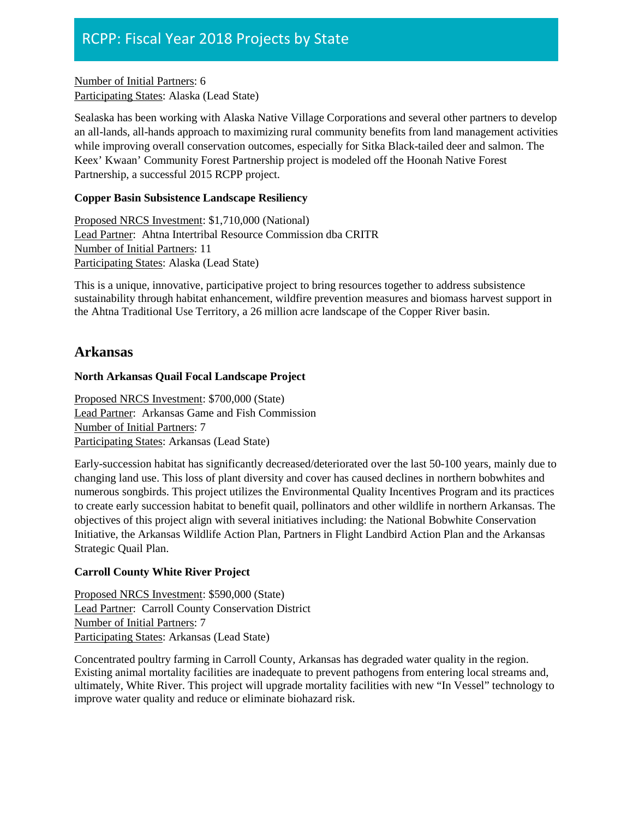Number of Initial Partners: 6 Participating States: Alaska (Lead State)

Sealaska has been working with Alaska Native Village Corporations and several other partners to develop an all-lands, all-hands approach to maximizing rural community benefits from land management activities while improving overall conservation outcomes, especially for Sitka Black-tailed deer and salmon. The Keex' Kwaan' Community Forest Partnership project is modeled off the Hoonah Native Forest Partnership, a successful 2015 RCPP project.

### **Copper Basin Subsistence Landscape Resiliency**

Proposed NRCS Investment: \$1,710,000 (National) Lead Partner: Ahtna Intertribal Resource Commission dba CRITR Number of Initial Partners: 11 Participating States: Alaska (Lead State)

This is a unique, innovative, participative project to bring resources together to address subsistence sustainability through habitat enhancement, wildfire prevention measures and biomass harvest support in the Ahtna Traditional Use Territory, a 26 million acre landscape of the Copper River basin.

# **Arkansas**

### **North Arkansas Quail Focal Landscape Project**

Proposed NRCS Investment: \$700,000 (State) Lead Partner: Arkansas Game and Fish Commission Number of Initial Partners: 7 Participating States: Arkansas (Lead State)

Early-succession habitat has significantly decreased/deteriorated over the last 50-100 years, mainly due to changing land use. This loss of plant diversity and cover has caused declines in northern bobwhites and numerous songbirds. This project utilizes the Environmental Quality Incentives Program and its practices to create early succession habitat to benefit quail, pollinators and other wildlife in northern Arkansas. The objectives of this project align with several initiatives including: the National Bobwhite Conservation Initiative, the Arkansas Wildlife Action Plan, Partners in Flight Landbird Action Plan and the Arkansas Strategic Quail Plan.

### **Carroll County White River Project**

Proposed NRCS Investment: \$590,000 (State) Lead Partner: Carroll County Conservation District Number of Initial Partners: 7 Participating States: Arkansas (Lead State)

Concentrated poultry farming in Carroll County, Arkansas has degraded water quality in the region. Existing animal mortality facilities are inadequate to prevent pathogens from entering local streams and, ultimately, White River. This project will upgrade mortality facilities with new "In Vessel" technology to improve water quality and reduce or eliminate biohazard risk.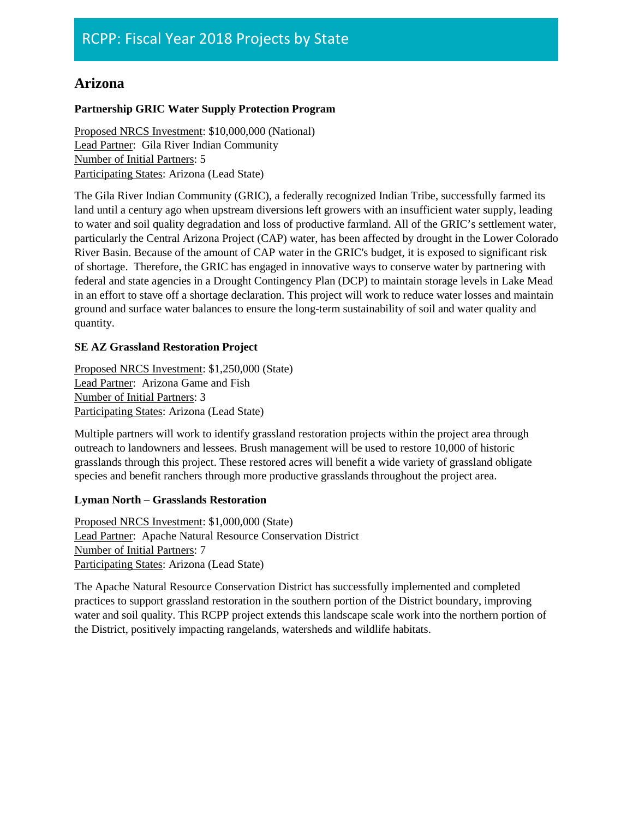# **Arizona**

### **Partnership GRIC Water Supply Protection Program**

Proposed NRCS Investment: \$10,000,000 (National) Lead Partner: Gila River Indian Community Number of Initial Partners: 5 Participating States: Arizona (Lead State)

The Gila River Indian Community (GRIC), a federally recognized Indian Tribe, successfully farmed its land until a century ago when upstream diversions left growers with an insufficient water supply, leading to water and soil quality degradation and loss of productive farmland. All of the GRIC's settlement water, particularly the Central Arizona Project (CAP) water, has been affected by drought in the Lower Colorado River Basin. Because of the amount of CAP water in the GRIC's budget, it is exposed to significant risk of shortage. Therefore, the GRIC has engaged in innovative ways to conserve water by partnering with federal and state agencies in a Drought Contingency Plan (DCP) to maintain storage levels in Lake Mead in an effort to stave off a shortage declaration. This project will work to reduce water losses and maintain ground and surface water balances to ensure the long-term sustainability of soil and water quality and quantity.

### **SE AZ Grassland Restoration Project**

Proposed NRCS Investment: \$1,250,000 (State) Lead Partner: Arizona Game and Fish Number of Initial Partners: 3 Participating States: Arizona (Lead State)

Multiple partners will work to identify grassland restoration projects within the project area through outreach to landowners and lessees. Brush management will be used to restore 10,000 of historic grasslands through this project. These restored acres will benefit a wide variety of grassland obligate species and benefit ranchers through more productive grasslands throughout the project area.

### **Lyman North – Grasslands Restoration**

Proposed NRCS Investment: \$1,000,000 (State) Lead Partner: Apache Natural Resource Conservation District Number of Initial Partners: 7 Participating States: Arizona (Lead State)

The Apache Natural Resource Conservation District has successfully implemented and completed practices to support grassland restoration in the southern portion of the District boundary, improving water and soil quality. This RCPP project extends this landscape scale work into the northern portion of the District, positively impacting rangelands, watersheds and wildlife habitats.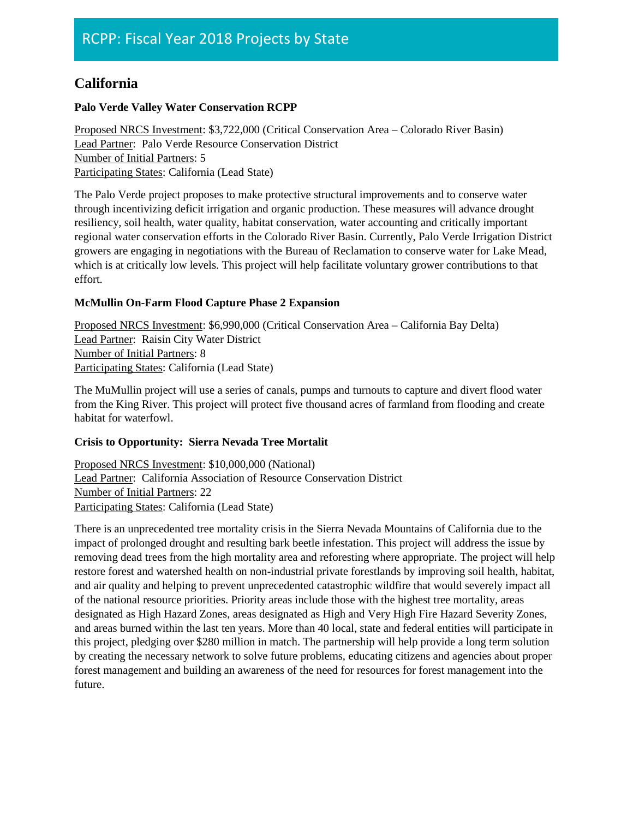# **California**

### **Palo Verde Valley Water Conservation RCPP**

Proposed NRCS Investment: \$3,722,000 (Critical Conservation Area – Colorado River Basin) Lead Partner: Palo Verde Resource Conservation District Number of Initial Partners: 5 Participating States: California (Lead State)

The Palo Verde project proposes to make protective structural improvements and to conserve water through incentivizing deficit irrigation and organic production. These measures will advance drought resiliency, soil health, water quality, habitat conservation, water accounting and critically important regional water conservation efforts in the Colorado River Basin. Currently, Palo Verde Irrigation District growers are engaging in negotiations with the Bureau of Reclamation to conserve water for Lake Mead, which is at critically low levels. This project will help facilitate voluntary grower contributions to that effort.

### **McMullin On-Farm Flood Capture Phase 2 Expansion**

Proposed NRCS Investment: \$6,990,000 (Critical Conservation Area – California Bay Delta) Lead Partner: Raisin City Water District Number of Initial Partners: 8 Participating States: California (Lead State)

The MuMullin project will use a series of canals, pumps and turnouts to capture and divert flood water from the King River. This project will protect five thousand acres of farmland from flooding and create habitat for waterfowl.

### **Crisis to Opportunity: Sierra Nevada Tree Mortalit**

Proposed NRCS Investment: \$10,000,000 (National) Lead Partner: California Association of Resource Conservation District Number of Initial Partners: 22 Participating States: California (Lead State)

There is an unprecedented tree mortality crisis in the Sierra Nevada Mountains of California due to the impact of prolonged drought and resulting bark beetle infestation. This project will address the issue by removing dead trees from the high mortality area and reforesting where appropriate. The project will help restore forest and watershed health on non-industrial private forestlands by improving soil health, habitat, and air quality and helping to prevent unprecedented catastrophic wildfire that would severely impact all of the national resource priorities. Priority areas include those with the highest tree mortality, areas designated as High Hazard Zones, areas designated as High and Very High Fire Hazard Severity Zones, and areas burned within the last ten years. More than 40 local, state and federal entities will participate in this project, pledging over \$280 million in match. The partnership will help provide a long term solution by creating the necessary network to solve future problems, educating citizens and agencies about proper forest management and building an awareness of the need for resources for forest management into the future.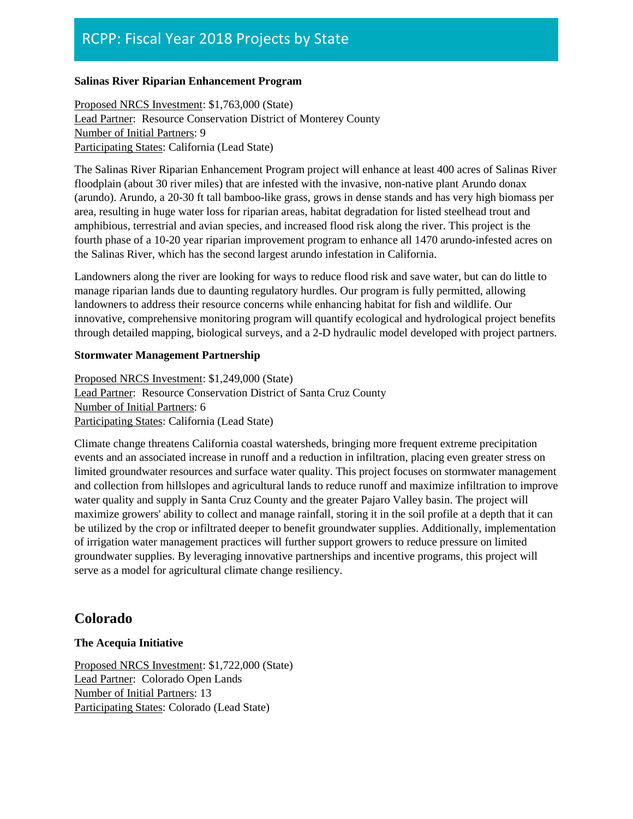### **Salinas River Riparian Enhancement Program**

Proposed NRCS Investment: \$1,763,000 (State) Lead Partner: Resource Conservation District of Monterey County Number of Initial Partners: 9 Participating States: California (Lead State)

The Salinas River Riparian Enhancement Program project will enhance at least 400 acres of Salinas River floodplain (about 30 river miles) that are infested with the invasive, non-native plant Arundo donax (arundo). Arundo, a 20-30 ft tall bamboo-like grass, grows in dense stands and has very high biomass per area, resulting in huge water loss for riparian areas, habitat degradation for listed steelhead trout and amphibious, terrestrial and avian species, and increased flood risk along the river. This project is the fourth phase of a 10-20 year riparian improvement program to enhance all 1470 arundo-infested acres on the Salinas River, which has the second largest arundo infestation in California.

Landowners along the river are looking for ways to reduce flood risk and save water, but can do little to manage riparian lands due to daunting regulatory hurdles. Our program is fully permitted, allowing landowners to address their resource concerns while enhancing habitat for fish and wildlife. Our innovative, comprehensive monitoring program will quantify ecological and hydrological project benefits through detailed mapping, biological surveys, and a 2-D hydraulic model developed with project partners.

### **Stormwater Management Partnership**

Proposed NRCS Investment: \$1,249,000 (State) Lead Partner: Resource Conservation District of Santa Cruz County Number of Initial Partners: 6 Participating States: California (Lead State)

Climate change threatens California coastal watersheds, bringing more frequent extreme precipitation events and an associated increase in runoff and a reduction in infiltration, placing even greater stress on limited groundwater resources and surface water quality. This project focuses on stormwater management and collection from hillslopes and agricultural lands to reduce runoff and maximize infiltration to improve water quality and supply in Santa Cruz County and the greater Pajaro Valley basin. The project will maximize growers' ability to collect and manage rainfall, storing it in the soil profile at a depth that it can be utilized by the crop or infiltrated deeper to benefit groundwater supplies. Additionally, implementation of irrigation water management practices will further support growers to reduce pressure on limited groundwater supplies. By leveraging innovative partnerships and incentive programs, this project will serve as a model for agricultural climate change resiliency.

# **Colorado**

### **The Acequia Initiative**

Proposed NRCS Investment: \$1,722,000 (State) Lead Partner: Colorado Open Lands Number of Initial Partners: 13 Participating States: Colorado (Lead State)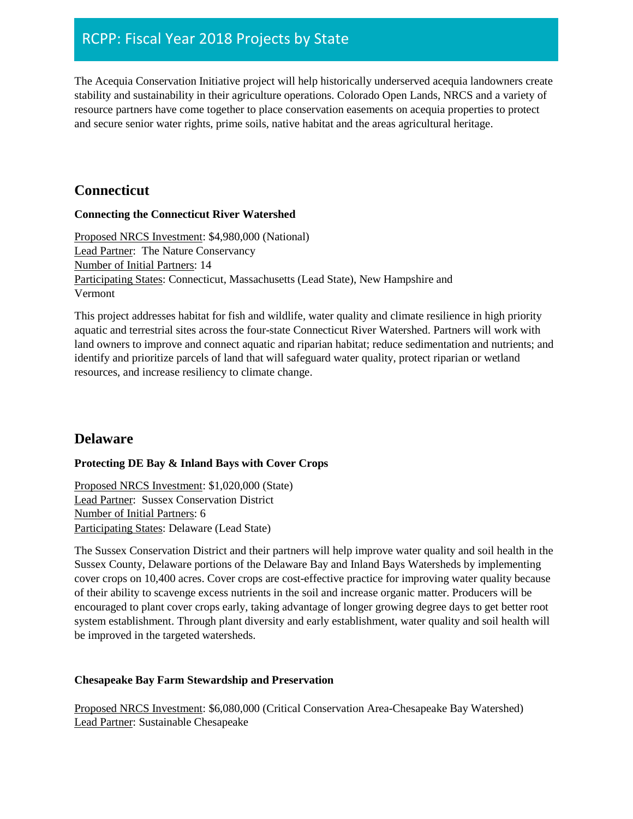The Acequia Conservation Initiative project will help historically underserved acequia landowners create stability and sustainability in their agriculture operations. Colorado Open Lands, NRCS and a variety of resource partners have come together to place conservation easements on acequia properties to protect and secure senior water rights, prime soils, native habitat and the areas agricultural heritage.

### **Connecticut**

### **Connecting the Connecticut River Watershed**

Proposed NRCS Investment: \$4,980,000 (National) Lead Partner: The Nature Conservancy Number of Initial Partners: 14 Participating States: Connecticut, Massachusetts (Lead State), New Hampshire and Vermont

This project addresses habitat for fish and wildlife, water quality and climate resilience in high priority aquatic and terrestrial sites across the four-state Connecticut River Watershed. Partners will work with land owners to improve and connect aquatic and riparian habitat; reduce sedimentation and nutrients; and identify and prioritize parcels of land that will safeguard water quality, protect riparian or wetland resources, and increase resiliency to climate change.

### **Delaware**

### **Protecting DE Bay & Inland Bays with Cover Crops**

Proposed NRCS Investment: \$1,020,000 (State) Lead Partner: Sussex Conservation District Number of Initial Partners: 6 Participating States: Delaware (Lead State)

The Sussex Conservation District and their partners will help improve water quality and soil health in the Sussex County, Delaware portions of the Delaware Bay and Inland Bays Watersheds by implementing cover crops on 10,400 acres. Cover crops are cost-effective practice for improving water quality because of their ability to scavenge excess nutrients in the soil and increase organic matter. Producers will be encouraged to plant cover crops early, taking advantage of longer growing degree days to get better root system establishment. Through plant diversity and early establishment, water quality and soil health will be improved in the targeted watersheds.

### **Chesapeake Bay Farm Stewardship and Preservation**

Proposed NRCS Investment: \$6,080,000 (Critical Conservation Area-Chesapeake Bay Watershed) Lead Partner: Sustainable Chesapeake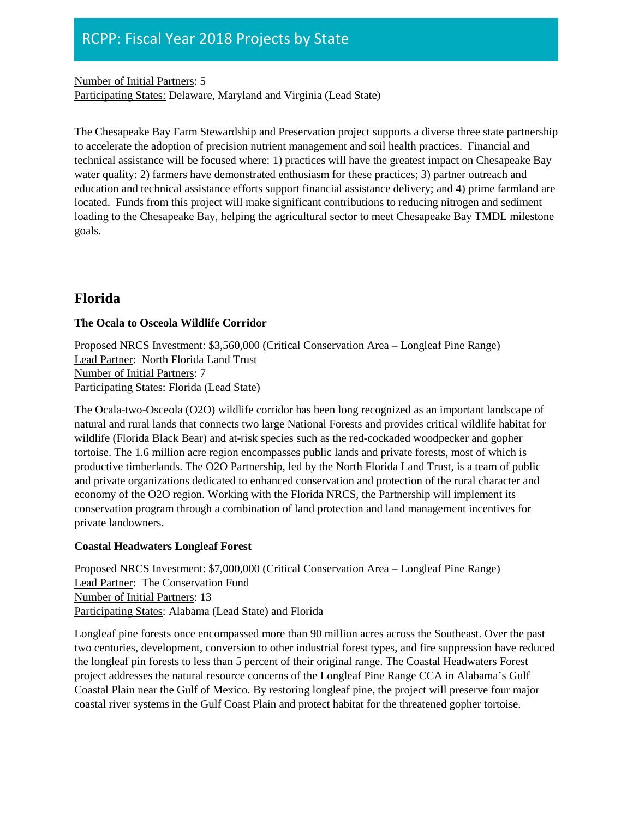Number of Initial Partners: 5 Participating States: Delaware, Maryland and Virginia (Lead State)

The Chesapeake Bay Farm Stewardship and Preservation project supports a diverse three state partnership to accelerate the adoption of precision nutrient management and soil health practices. Financial and technical assistance will be focused where: 1) practices will have the greatest impact on Chesapeake Bay water quality: 2) farmers have demonstrated enthusiasm for these practices; 3) partner outreach and education and technical assistance efforts support financial assistance delivery; and 4) prime farmland are located. Funds from this project will make significant contributions to reducing nitrogen and sediment loading to the Chesapeake Bay, helping the agricultural sector to meet Chesapeake Bay TMDL milestone goals.

# **Florida**

### **The Ocala to Osceola Wildlife Corridor**

Proposed NRCS Investment: \$3,560,000 (Critical Conservation Area – Longleaf Pine Range) Lead Partner: North Florida Land Trust Number of Initial Partners: 7 Participating States: Florida (Lead State)

The Ocala-two-Osceola (O2O) wildlife corridor has been long recognized as an important landscape of natural and rural lands that connects two large National Forests and provides critical wildlife habitat for wildlife (Florida Black Bear) and at-risk species such as the red-cockaded woodpecker and gopher tortoise. The 1.6 million acre region encompasses public lands and private forests, most of which is productive timberlands. The O2O Partnership, led by the North Florida Land Trust, is a team of public and private organizations dedicated to enhanced conservation and protection of the rural character and economy of the O2O region. Working with the Florida NRCS, the Partnership will implement its conservation program through a combination of land protection and land management incentives for private landowners.

### **Coastal Headwaters Longleaf Forest**

Proposed NRCS Investment: \$7,000,000 (Critical Conservation Area – Longleaf Pine Range) Lead Partner: The Conservation Fund Number of Initial Partners: 13 Participating States: Alabama (Lead State) and Florida

Longleaf pine forests once encompassed more than 90 million acres across the Southeast. Over the past two centuries, development, conversion to other industrial forest types, and fire suppression have reduced the longleaf pin forests to less than 5 percent of their original range. The Coastal Headwaters Forest project addresses the natural resource concerns of the Longleaf Pine Range CCA in Alabama's Gulf Coastal Plain near the Gulf of Mexico. By restoring longleaf pine, the project will preserve four major coastal river systems in the Gulf Coast Plain and protect habitat for the threatened gopher tortoise.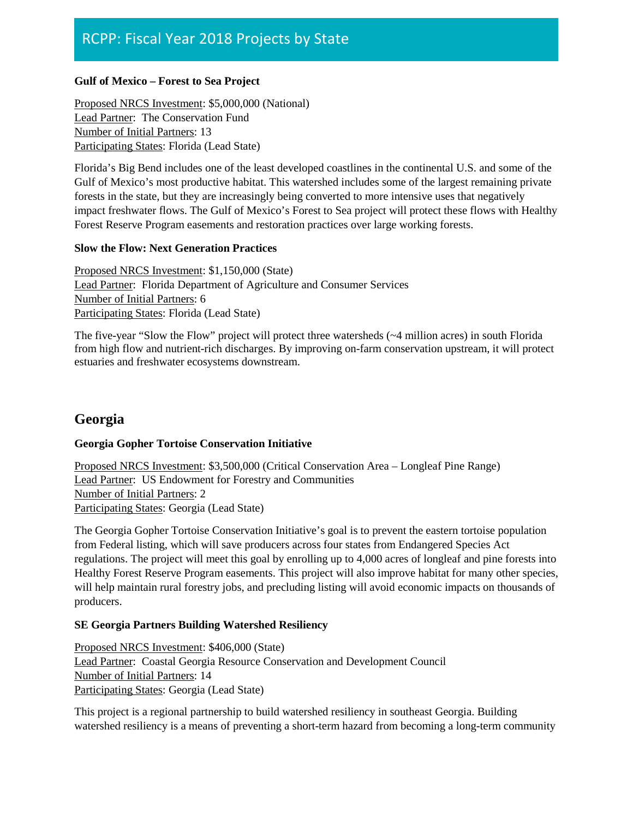#### **Gulf of Mexico – Forest to Sea Project**

Proposed NRCS Investment: \$5,000,000 (National) Lead Partner: The Conservation Fund Number of Initial Partners: 13 Participating States: Florida (Lead State)

Florida's Big Bend includes one of the least developed coastlines in the continental U.S. and some of the Gulf of Mexico's most productive habitat. This watershed includes some of the largest remaining private forests in the state, but they are increasingly being converted to more intensive uses that negatively impact freshwater flows. The Gulf of Mexico's Forest to Sea project will protect these flows with Healthy Forest Reserve Program easements and restoration practices over large working forests.

#### **Slow the Flow: Next Generation Practices**

Proposed NRCS Investment: \$1,150,000 (State) Lead Partner: Florida Department of Agriculture and Consumer Services Number of Initial Partners: 6 Participating States: Florida (Lead State)

The five-year "Slow the Flow" project will protect three watersheds (~4 million acres) in south Florida from high flow and nutrient-rich discharges. By improving on-farm conservation upstream, it will protect estuaries and freshwater ecosystems downstream.

# **Georgia**

### **Georgia Gopher Tortoise Conservation Initiative**

Proposed NRCS Investment: \$3,500,000 (Critical Conservation Area – Longleaf Pine Range) Lead Partner: US Endowment for Forestry and Communities Number of Initial Partners: 2 Participating States: Georgia (Lead State)

The Georgia Gopher Tortoise Conservation Initiative's goal is to prevent the eastern tortoise population from Federal listing, which will save producers across four states from Endangered Species Act regulations. The project will meet this goal by enrolling up to 4,000 acres of longleaf and pine forests into Healthy Forest Reserve Program easements. This project will also improve habitat for many other species, will help maintain rural forestry jobs, and precluding listing will avoid economic impacts on thousands of producers.

### **SE Georgia Partners Building Watershed Resiliency**

Proposed NRCS Investment: \$406,000 (State) Lead Partner: Coastal Georgia Resource Conservation and Development Council Number of Initial Partners: 14 Participating States: Georgia (Lead State)

This project is a regional partnership to build watershed resiliency in southeast Georgia. Building watershed resiliency is a means of preventing a short-term hazard from becoming a long-term community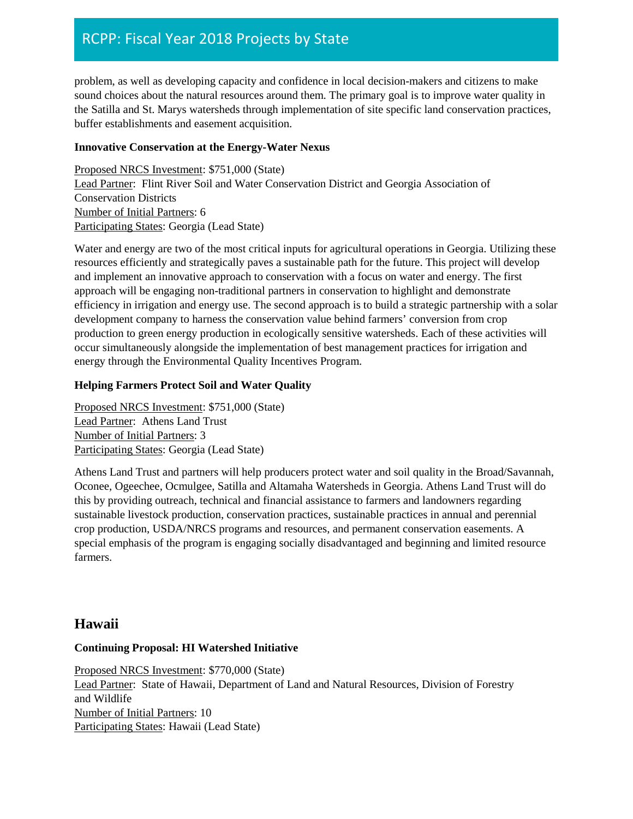problem, as well as developing capacity and confidence in local decision-makers and citizens to make sound choices about the natural resources around them. The primary goal is to improve water quality in the Satilla and St. Marys watersheds through implementation of site specific land conservation practices, buffer establishments and easement acquisition.

### **Innovative Conservation at the Energy-Water Nexus**

Proposed NRCS Investment: \$751,000 (State) Lead Partner: Flint River Soil and Water Conservation District and Georgia Association of Conservation Districts Number of Initial Partners: 6 Participating States: Georgia (Lead State)

Water and energy are two of the most critical inputs for agricultural operations in Georgia. Utilizing these resources efficiently and strategically paves a sustainable path for the future. This project will develop and implement an innovative approach to conservation with a focus on water and energy. The first approach will be engaging non-traditional partners in conservation to highlight and demonstrate efficiency in irrigation and energy use. The second approach is to build a strategic partnership with a solar development company to harness the conservation value behind farmers' conversion from crop production to green energy production in ecologically sensitive watersheds. Each of these activities will occur simultaneously alongside the implementation of best management practices for irrigation and energy through the Environmental Quality Incentives Program.

### **Helping Farmers Protect Soil and Water Quality**

Proposed NRCS Investment: \$751,000 (State) Lead Partner: Athens Land Trust Number of Initial Partners: 3 Participating States: Georgia (Lead State)

Athens Land Trust and partners will help producers protect water and soil quality in the Broad/Savannah, Oconee, Ogeechee, Ocmulgee, Satilla and Altamaha Watersheds in Georgia. Athens Land Trust will do this by providing outreach, technical and financial assistance to farmers and landowners regarding sustainable livestock production, conservation practices, sustainable practices in annual and perennial crop production, USDA/NRCS programs and resources, and permanent conservation easements. A special emphasis of the program is engaging socially disadvantaged and beginning and limited resource farmers.

### **Hawaii**

### **Continuing Proposal: HI Watershed Initiative**

Proposed NRCS Investment: \$770,000 (State) Lead Partner: State of Hawaii, Department of Land and Natural Resources, Division of Forestry and Wildlife Number of Initial Partners: 10 Participating States: Hawaii (Lead State)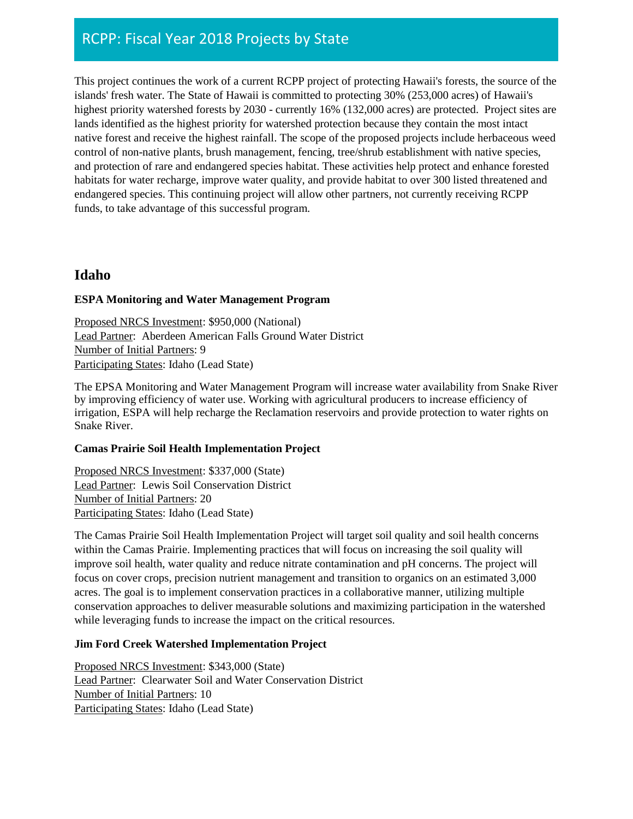This project continues the work of a current RCPP project of protecting Hawaii's forests, the source of the islands' fresh water. The State of Hawaii is committed to protecting 30% (253,000 acres) of Hawaii's highest priority watershed forests by 2030 - currently 16% (132,000 acres) are protected. Project sites are lands identified as the highest priority for watershed protection because they contain the most intact native forest and receive the highest rainfall. The scope of the proposed projects include herbaceous weed control of non-native plants, brush management, fencing, tree/shrub establishment with native species, and protection of rare and endangered species habitat. These activities help protect and enhance forested habitats for water recharge, improve water quality, and provide habitat to over 300 listed threatened and endangered species. This continuing project will allow other partners, not currently receiving RCPP funds, to take advantage of this successful program.

# **Idaho**

### **ESPA Monitoring and Water Management Program**

Proposed NRCS Investment: \$950,000 (National) Lead Partner: Aberdeen American Falls Ground Water District Number of Initial Partners: 9 Participating States: Idaho (Lead State)

The EPSA Monitoring and Water Management Program will increase water availability from Snake River by improving efficiency of water use. Working with agricultural producers to increase efficiency of irrigation, ESPA will help recharge the Reclamation reservoirs and provide protection to water rights on Snake River.

### **Camas Prairie Soil Health Implementation Project**

Proposed NRCS Investment: \$337,000 (State) Lead Partner: Lewis Soil Conservation District Number of Initial Partners: 20 Participating States: Idaho (Lead State)

The Camas Prairie Soil Health Implementation Project will target soil quality and soil health concerns within the Camas Prairie. Implementing practices that will focus on increasing the soil quality will improve soil health, water quality and reduce nitrate contamination and pH concerns. The project will focus on cover crops, precision nutrient management and transition to organics on an estimated 3,000 acres. The goal is to implement conservation practices in a collaborative manner, utilizing multiple conservation approaches to deliver measurable solutions and maximizing participation in the watershed while leveraging funds to increase the impact on the critical resources.

### **Jim Ford Creek Watershed Implementation Project**

Proposed NRCS Investment: \$343,000 (State) Lead Partner: Clearwater Soil and Water Conservation District Number of Initial Partners: 10 Participating States: Idaho (Lead State)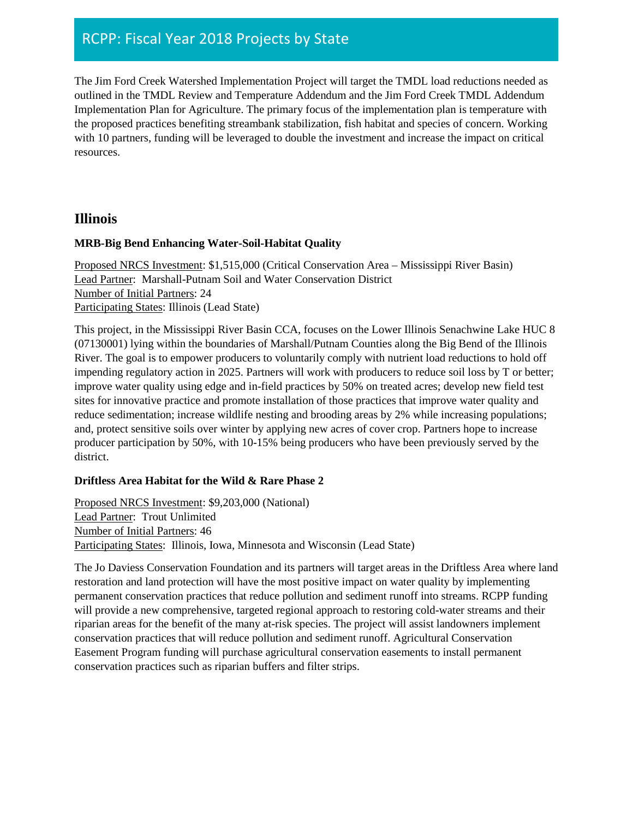The Jim Ford Creek Watershed Implementation Project will target the TMDL load reductions needed as outlined in the TMDL Review and Temperature Addendum and the Jim Ford Creek TMDL Addendum Implementation Plan for Agriculture. The primary focus of the implementation plan is temperature with the proposed practices benefiting streambank stabilization, fish habitat and species of concern. Working with 10 partners, funding will be leveraged to double the investment and increase the impact on critical resources.

### **Illinois**

### **MRB-Big Bend Enhancing Water-Soil-Habitat Quality**

Proposed NRCS Investment: \$1,515,000 (Critical Conservation Area – Mississippi River Basin) Lead Partner: Marshall-Putnam Soil and Water Conservation District Number of Initial Partners: 24 Participating States: Illinois (Lead State)

This project, in the Mississippi River Basin CCA, focuses on the Lower Illinois Senachwine Lake HUC 8 (07130001) lying within the boundaries of Marshall/Putnam Counties along the Big Bend of the Illinois River. The goal is to empower producers to voluntarily comply with nutrient load reductions to hold off impending regulatory action in 2025. Partners will work with producers to reduce soil loss by T or better; improve water quality using edge and in-field practices by 50% on treated acres; develop new field test sites for innovative practice and promote installation of those practices that improve water quality and reduce sedimentation; increase wildlife nesting and brooding areas by 2% while increasing populations; and, protect sensitive soils over winter by applying new acres of cover crop. Partners hope to increase producer participation by 50%, with 10-15% being producers who have been previously served by the district.

### **Driftless Area Habitat for the Wild & Rare Phase 2**

Proposed NRCS Investment: \$9,203,000 (National) Lead Partner: Trout Unlimited Number of Initial Partners: 46 Participating States: Illinois, Iowa, Minnesota and Wisconsin (Lead State)

The Jo Daviess Conservation Foundation and its partners will target areas in the Driftless Area where land restoration and land protection will have the most positive impact on water quality by implementing permanent conservation practices that reduce pollution and sediment runoff into streams. RCPP funding will provide a new comprehensive, targeted regional approach to restoring cold-water streams and their riparian areas for the benefit of the many at-risk species. The project will assist landowners implement conservation practices that will reduce pollution and sediment runoff. Agricultural Conservation Easement Program funding will purchase agricultural conservation easements to install permanent conservation practices such as riparian buffers and filter strips.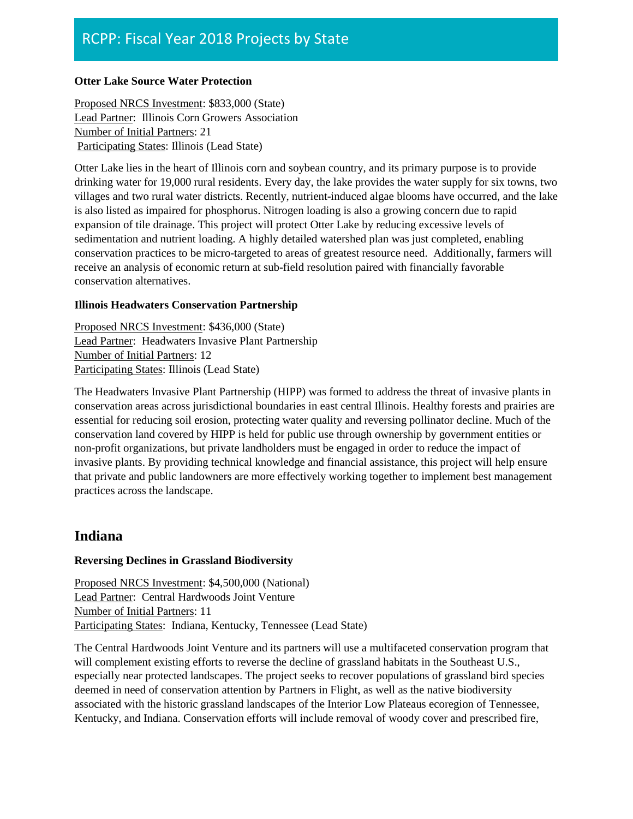#### **Otter Lake Source Water Protection**

Proposed NRCS Investment: \$833,000 (State) Lead Partner: Illinois Corn Growers Association Number of Initial Partners: 21 Participating States: Illinois (Lead State)

Otter Lake lies in the heart of Illinois corn and soybean country, and its primary purpose is to provide drinking water for 19,000 rural residents. Every day, the lake provides the water supply for six towns, two villages and two rural water districts. Recently, nutrient-induced algae blooms have occurred, and the lake is also listed as impaired for phosphorus. Nitrogen loading is also a growing concern due to rapid expansion of tile drainage. This project will protect Otter Lake by reducing excessive levels of sedimentation and nutrient loading. A highly detailed watershed plan was just completed, enabling conservation practices to be micro-targeted to areas of greatest resource need. Additionally, farmers will receive an analysis of economic return at sub-field resolution paired with financially favorable conservation alternatives.

#### **Illinois Headwaters Conservation Partnership**

Proposed NRCS Investment: \$436,000 (State) Lead Partner: Headwaters Invasive Plant Partnership Number of Initial Partners: 12 Participating States: Illinois (Lead State)

The Headwaters Invasive Plant Partnership (HIPP) was formed to address the threat of invasive plants in conservation areas across jurisdictional boundaries in east central Illinois. Healthy forests and prairies are essential for reducing soil erosion, protecting water quality and reversing pollinator decline. Much of the conservation land covered by HIPP is held for public use through ownership by government entities or non-profit organizations, but private landholders must be engaged in order to reduce the impact of invasive plants. By providing technical knowledge and financial assistance, this project will help ensure that private and public landowners are more effectively working together to implement best management practices across the landscape.

### **Indiana**

### **Reversing Declines in Grassland Biodiversity**

Proposed NRCS Investment: \$4,500,000 (National) Lead Partner: Central Hardwoods Joint Venture Number of Initial Partners: 11 Participating States: Indiana, Kentucky, Tennessee (Lead State)

The Central Hardwoods Joint Venture and its partners will use a multifaceted conservation program that will complement existing efforts to reverse the decline of grassland habitats in the Southeast U.S., especially near protected landscapes. The project seeks to recover populations of grassland bird species deemed in need of conservation attention by Partners in Flight, as well as the native biodiversity associated with the historic grassland landscapes of the Interior Low Plateaus ecoregion of Tennessee, Kentucky, and Indiana. Conservation efforts will include removal of woody cover and prescribed fire,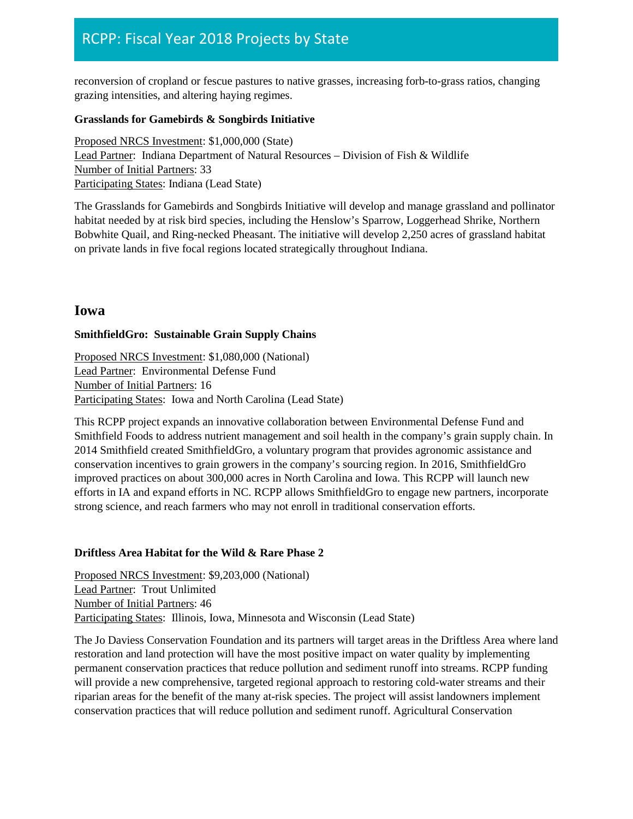reconversion of cropland or fescue pastures to native grasses, increasing forb-to-grass ratios, changing grazing intensities, and altering haying regimes.

#### **Grasslands for Gamebirds & Songbirds Initiative**

Proposed NRCS Investment: \$1,000,000 (State) Lead Partner: Indiana Department of Natural Resources – Division of Fish & Wildlife Number of Initial Partners: 33 Participating States: Indiana (Lead State)

The Grasslands for Gamebirds and Songbirds Initiative will develop and manage grassland and pollinator habitat needed by at risk bird species, including the Henslow's Sparrow, Loggerhead Shrike, Northern Bobwhite Quail, and Ring-necked Pheasant. The initiative will develop 2,250 acres of grassland habitat on private lands in five focal regions located strategically throughout Indiana.

### **Iowa**

#### **SmithfieldGro: Sustainable Grain Supply Chains**

Proposed NRCS Investment: \$1,080,000 (National) Lead Partner: Environmental Defense Fund Number of Initial Partners: 16 Participating States: Iowa and North Carolina (Lead State)

This RCPP project expands an innovative collaboration between Environmental Defense Fund and Smithfield Foods to address nutrient management and soil health in the company's grain supply chain. In 2014 Smithfield created SmithfieldGro, a voluntary program that provides agronomic assistance and conservation incentives to grain growers in the company's sourcing region. In 2016, SmithfieldGro improved practices on about 300,000 acres in North Carolina and Iowa. This RCPP will launch new efforts in IA and expand efforts in NC. RCPP allows SmithfieldGro to engage new partners, incorporate strong science, and reach farmers who may not enroll in traditional conservation efforts.

#### **Driftless Area Habitat for the Wild & Rare Phase 2**

Proposed NRCS Investment: \$9,203,000 (National) Lead Partner: Trout Unlimited Number of Initial Partners: 46 Participating States: Illinois, Iowa, Minnesota and Wisconsin (Lead State)

The Jo Daviess Conservation Foundation and its partners will target areas in the Driftless Area where land restoration and land protection will have the most positive impact on water quality by implementing permanent conservation practices that reduce pollution and sediment runoff into streams. RCPP funding will provide a new comprehensive, targeted regional approach to restoring cold-water streams and their riparian areas for the benefit of the many at-risk species. The project will assist landowners implement conservation practices that will reduce pollution and sediment runoff. Agricultural Conservation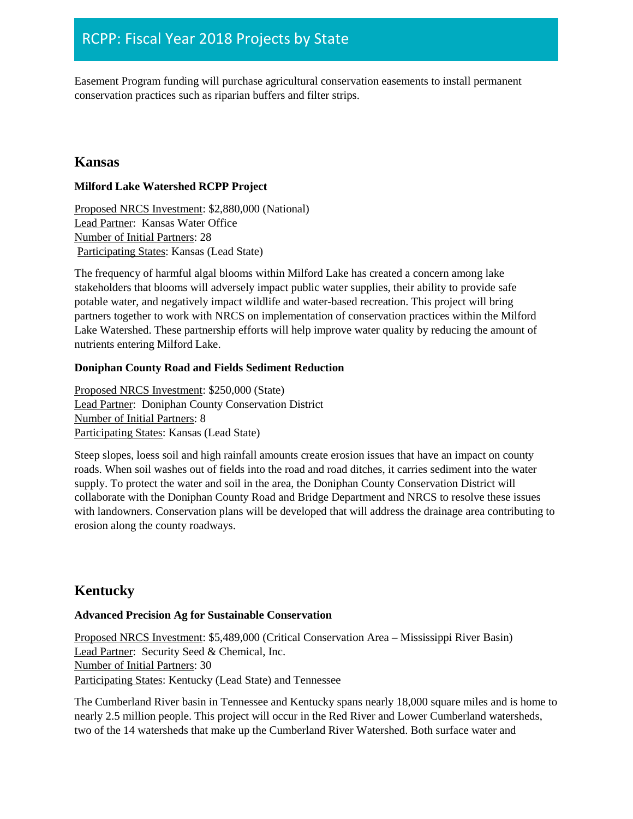Easement Program funding will purchase agricultural conservation easements to install permanent conservation practices such as riparian buffers and filter strips.

# **Kansas**

### **Milford Lake Watershed RCPP Project**

Proposed NRCS Investment: \$2,880,000 (National) Lead Partner: Kansas Water Office Number of Initial Partners: 28 Participating States: Kansas (Lead State)

The frequency of harmful algal blooms within Milford Lake has created a concern among lake stakeholders that blooms will adversely impact public water supplies, their ability to provide safe potable water, and negatively impact wildlife and water-based recreation. This project will bring partners together to work with NRCS on implementation of conservation practices within the Milford Lake Watershed. These partnership efforts will help improve water quality by reducing the amount of nutrients entering Milford Lake.

### **Doniphan County Road and Fields Sediment Reduction**

Proposed NRCS Investment: \$250,000 (State) Lead Partner: Doniphan County Conservation District Number of Initial Partners: 8 Participating States: Kansas (Lead State)

Steep slopes, loess soil and high rainfall amounts create erosion issues that have an impact on county roads. When soil washes out of fields into the road and road ditches, it carries sediment into the water supply. To protect the water and soil in the area, the Doniphan County Conservation District will collaborate with the Doniphan County Road and Bridge Department and NRCS to resolve these issues with landowners. Conservation plans will be developed that will address the drainage area contributing to erosion along the county roadways.

# **Kentucky**

### **Advanced Precision Ag for Sustainable Conservation**

Proposed NRCS Investment: \$5,489,000 (Critical Conservation Area – Mississippi River Basin) Lead Partner: Security Seed & Chemical, Inc. Number of Initial Partners: 30 Participating States: Kentucky (Lead State) and Tennessee

The Cumberland River basin in Tennessee and Kentucky spans nearly 18,000 square miles and is home to nearly 2.5 million people. This project will occur in the Red River and Lower Cumberland watersheds, two of the 14 watersheds that make up the Cumberland River Watershed. Both surface water and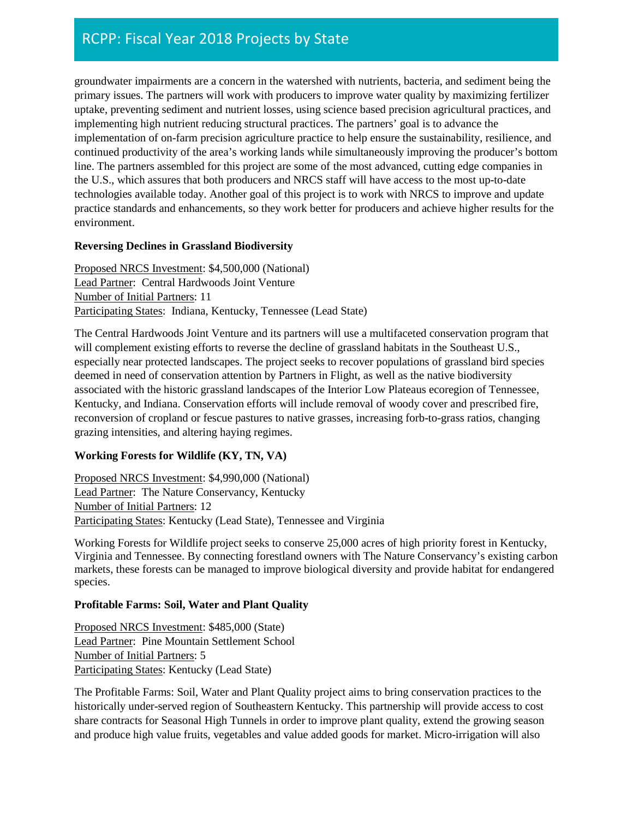groundwater impairments are a concern in the watershed with nutrients, bacteria, and sediment being the primary issues. The partners will work with producers to improve water quality by maximizing fertilizer uptake, preventing sediment and nutrient losses, using science based precision agricultural practices, and implementing high nutrient reducing structural practices. The partners' goal is to advance the implementation of on-farm precision agriculture practice to help ensure the sustainability, resilience, and continued productivity of the area's working lands while simultaneously improving the producer's bottom line. The partners assembled for this project are some of the most advanced, cutting edge companies in the U.S., which assures that both producers and NRCS staff will have access to the most up-to-date technologies available today. Another goal of this project is to work with NRCS to improve and update practice standards and enhancements, so they work better for producers and achieve higher results for the environment.

### **Reversing Declines in Grassland Biodiversity**

Proposed NRCS Investment: \$4,500,000 (National) Lead Partner: Central Hardwoods Joint Venture Number of Initial Partners: 11 Participating States: Indiana, Kentucky, Tennessee (Lead State)

The Central Hardwoods Joint Venture and its partners will use a multifaceted conservation program that will complement existing efforts to reverse the decline of grassland habitats in the Southeast U.S., especially near protected landscapes. The project seeks to recover populations of grassland bird species deemed in need of conservation attention by Partners in Flight, as well as the native biodiversity associated with the historic grassland landscapes of the Interior Low Plateaus ecoregion of Tennessee, Kentucky, and Indiana. Conservation efforts will include removal of woody cover and prescribed fire, reconversion of cropland or fescue pastures to native grasses, increasing forb-to-grass ratios, changing grazing intensities, and altering haying regimes.

### **Working Forests for Wildlife (KY, TN, VA)**

Proposed NRCS Investment: \$4,990,000 (National) Lead Partner: The Nature Conservancy, Kentucky Number of Initial Partners: 12 Participating States: Kentucky (Lead State), Tennessee and Virginia

Working Forests for Wildlife project seeks to conserve 25,000 acres of high priority forest in Kentucky, Virginia and Tennessee. By connecting forestland owners with The Nature Conservancy's existing carbon markets, these forests can be managed to improve biological diversity and provide habitat for endangered species.

### **Profitable Farms: Soil, Water and Plant Quality**

Proposed NRCS Investment: \$485,000 (State) Lead Partner: Pine Mountain Settlement School Number of Initial Partners: 5 Participating States: Kentucky (Lead State)

The Profitable Farms: Soil, Water and Plant Quality project aims to bring conservation practices to the historically under-served region of Southeastern Kentucky. This partnership will provide access to cost share contracts for Seasonal High Tunnels in order to improve plant quality, extend the growing season and produce high value fruits, vegetables and value added goods for market. Micro-irrigation will also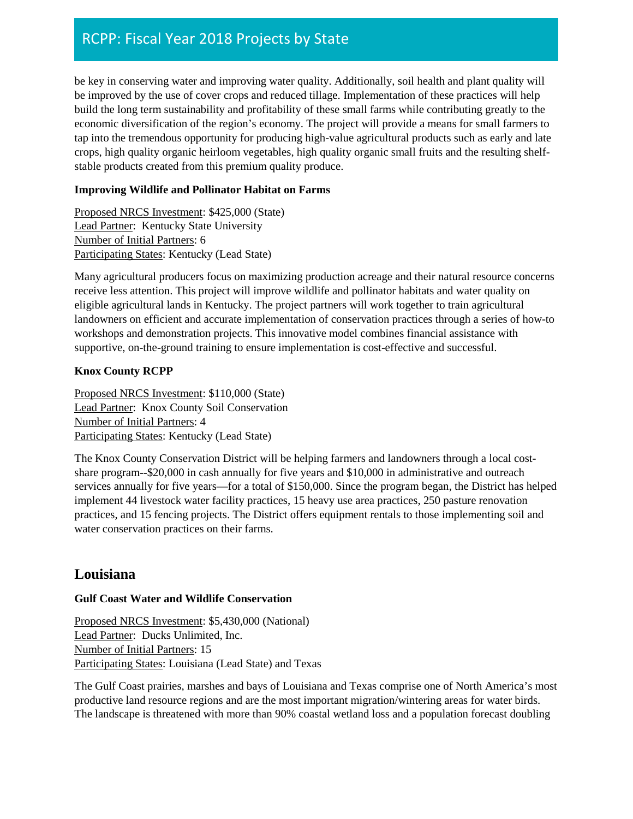be key in conserving water and improving water quality. Additionally, soil health and plant quality will be improved by the use of cover crops and reduced tillage. Implementation of these practices will help build the long term sustainability and profitability of these small farms while contributing greatly to the economic diversification of the region's economy. The project will provide a means for small farmers to tap into the tremendous opportunity for producing high-value agricultural products such as early and late crops, high quality organic heirloom vegetables, high quality organic small fruits and the resulting shelfstable products created from this premium quality produce.

### **Improving Wildlife and Pollinator Habitat on Farms**

Proposed NRCS Investment: \$425,000 (State) Lead Partner: Kentucky State University Number of Initial Partners: 6 Participating States: Kentucky (Lead State)

Many agricultural producers focus on maximizing production acreage and their natural resource concerns receive less attention. This project will improve wildlife and pollinator habitats and water quality on eligible agricultural lands in Kentucky. The project partners will work together to train agricultural landowners on efficient and accurate implementation of conservation practices through a series of how-to workshops and demonstration projects. This innovative model combines financial assistance with supportive, on-the-ground training to ensure implementation is cost-effective and successful.

### **Knox County RCPP**

Proposed NRCS Investment: \$110,000 (State) Lead Partner: Knox County Soil Conservation Number of Initial Partners: 4 Participating States: Kentucky (Lead State)

The Knox County Conservation District will be helping farmers and landowners through a local costshare program--\$20,000 in cash annually for five years and \$10,000 in administrative and outreach services annually for five years—for a total of \$150,000. Since the program began, the District has helped implement 44 livestock water facility practices, 15 heavy use area practices, 250 pasture renovation practices, and 15 fencing projects. The District offers equipment rentals to those implementing soil and water conservation practices on their farms.

# **Louisiana**

### **Gulf Coast Water and Wildlife Conservation**

Proposed NRCS Investment: \$5,430,000 (National) Lead Partner: Ducks Unlimited, Inc. Number of Initial Partners: 15 Participating States: Louisiana (Lead State) and Texas

The Gulf Coast prairies, marshes and bays of Louisiana and Texas comprise one of North America's most productive land resource regions and are the most important migration/wintering areas for water birds. The landscape is threatened with more than 90% coastal wetland loss and a population forecast doubling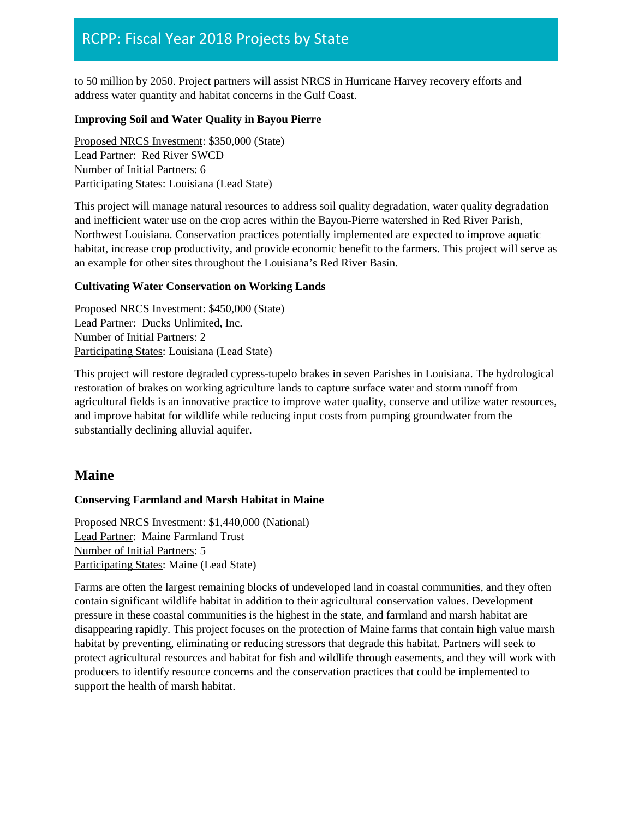to 50 million by 2050. Project partners will assist NRCS in Hurricane Harvey recovery efforts and address water quantity and habitat concerns in the Gulf Coast.

### **Improving Soil and Water Quality in Bayou Pierre**

Proposed NRCS Investment: \$350,000 (State) Lead Partner: Red River SWCD Number of Initial Partners: 6 Participating States: Louisiana (Lead State)

This project will manage natural resources to address soil quality degradation, water quality degradation and inefficient water use on the crop acres within the Bayou-Pierre watershed in Red River Parish, Northwest Louisiana. Conservation practices potentially implemented are expected to improve aquatic habitat, increase crop productivity, and provide economic benefit to the farmers. This project will serve as an example for other sites throughout the Louisiana's Red River Basin.

### **Cultivating Water Conservation on Working Lands**

Proposed NRCS Investment: \$450,000 (State) Lead Partner: Ducks Unlimited, Inc. Number of Initial Partners: 2 Participating States: Louisiana (Lead State)

This project will restore degraded cypress-tupelo brakes in seven Parishes in Louisiana. The hydrological restoration of brakes on working agriculture lands to capture surface water and storm runoff from agricultural fields is an innovative practice to improve water quality, conserve and utilize water resources, and improve habitat for wildlife while reducing input costs from pumping groundwater from the substantially declining alluvial aquifer.

### **Maine**

### **Conserving Farmland and Marsh Habitat in Maine**

Proposed NRCS Investment: \$1,440,000 (National) Lead Partner: Maine Farmland Trust Number of Initial Partners: 5 Participating States: Maine (Lead State)

Farms are often the largest remaining blocks of undeveloped land in coastal communities, and they often contain significant wildlife habitat in addition to their agricultural conservation values. Development pressure in these coastal communities is the highest in the state, and farmland and marsh habitat are disappearing rapidly. This project focuses on the protection of Maine farms that contain high value marsh habitat by preventing, eliminating or reducing stressors that degrade this habitat. Partners will seek to protect agricultural resources and habitat for fish and wildlife through easements, and they will work with producers to identify resource concerns and the conservation practices that could be implemented to support the health of marsh habitat.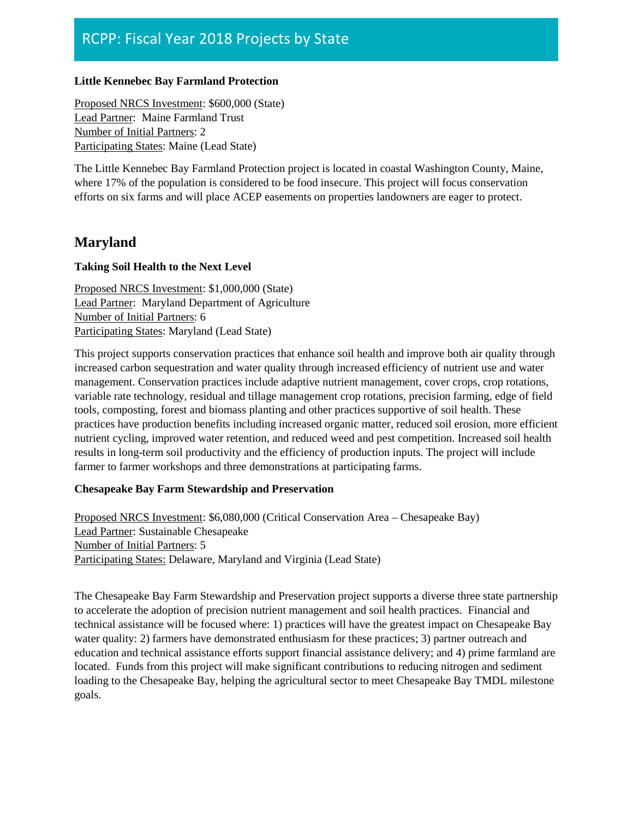#### **Little Kennebec Bay Farmland Protection**

Proposed NRCS Investment: \$600,000 (State) Lead Partner: Maine Farmland Trust Number of Initial Partners: 2 Participating States: Maine (Lead State)

The Little Kennebec Bay Farmland Protection project is located in coastal Washington County, Maine, where 17% of the population is considered to be food insecure. This project will focus conservation efforts on six farms and will place ACEP easements on properties landowners are eager to protect.

### **Maryland**

#### **Taking Soil Health to the Next Level**

Proposed NRCS Investment: \$1,000,000 (State) Lead Partner: Maryland Department of Agriculture Number of Initial Partners: 6 Participating States: Maryland (Lead State)

This project supports conservation practices that enhance soil health and improve both air quality through increased carbon sequestration and water quality through increased efficiency of nutrient use and water management. Conservation practices include adaptive nutrient management, cover crops, crop rotations, variable rate technology, residual and tillage management crop rotations, precision farming, edge of field tools, composting, forest and biomass planting and other practices supportive of soil health. These practices have production benefits including increased organic matter, reduced soil erosion, more efficient nutrient cycling, improved water retention, and reduced weed and pest competition. Increased soil health results in long-term soil productivity and the efficiency of production inputs. The project will include farmer to farmer workshops and three demonstrations at participating farms.

### **Chesapeake Bay Farm Stewardship and Preservation**

Proposed NRCS Investment: \$6,080,000 (Critical Conservation Area – Chesapeake Bay) Lead Partner: Sustainable Chesapeake Number of Initial Partners: 5 Participating States: Delaware, Maryland and Virginia (Lead State)

The Chesapeake Bay Farm Stewardship and Preservation project supports a diverse three state partnership to accelerate the adoption of precision nutrient management and soil health practices. Financial and technical assistance will be focused where: 1) practices will have the greatest impact on Chesapeake Bay water quality: 2) farmers have demonstrated enthusiasm for these practices; 3) partner outreach and education and technical assistance efforts support financial assistance delivery; and 4) prime farmland are located. Funds from this project will make significant contributions to reducing nitrogen and sediment loading to the Chesapeake Bay, helping the agricultural sector to meet Chesapeake Bay TMDL milestone goals.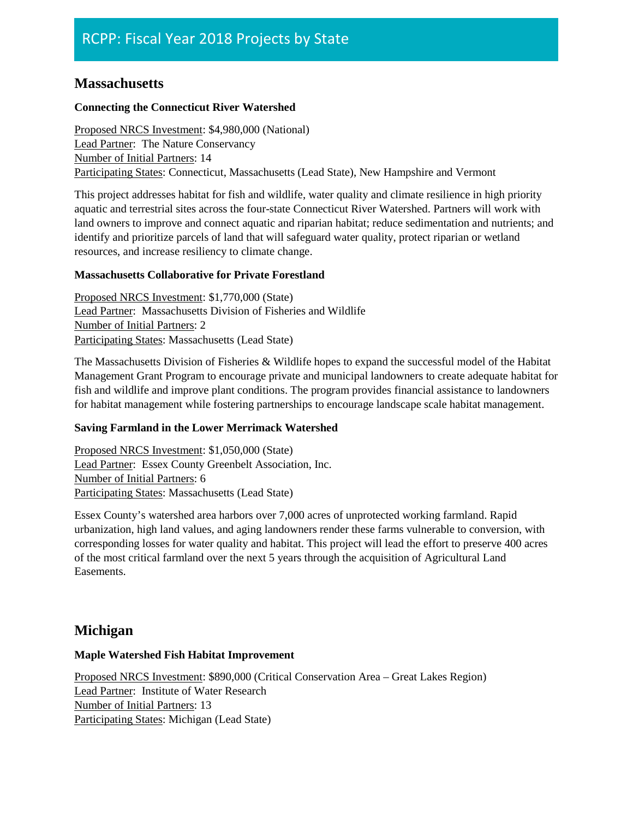# **Massachusetts**

### **Connecting the Connecticut River Watershed**

Proposed NRCS Investment: \$4,980,000 (National) Lead Partner: The Nature Conservancy Number of Initial Partners: 14 Participating States: Connecticut, Massachusetts (Lead State), New Hampshire and Vermont

This project addresses habitat for fish and wildlife, water quality and climate resilience in high priority aquatic and terrestrial sites across the four-state Connecticut River Watershed. Partners will work with land owners to improve and connect aquatic and riparian habitat; reduce sedimentation and nutrients; and identify and prioritize parcels of land that will safeguard water quality, protect riparian or wetland resources, and increase resiliency to climate change.

### **Massachusetts Collaborative for Private Forestland**

Proposed NRCS Investment: \$1,770,000 (State) Lead Partner: Massachusetts Division of Fisheries and Wildlife Number of Initial Partners: 2 Participating States: Massachusetts (Lead State)

The Massachusetts Division of Fisheries & Wildlife hopes to expand the successful model of the Habitat Management Grant Program to encourage private and municipal landowners to create adequate habitat for fish and wildlife and improve plant conditions. The program provides financial assistance to landowners for habitat management while fostering partnerships to encourage landscape scale habitat management.

### **Saving Farmland in the Lower Merrimack Watershed**

Proposed NRCS Investment: \$1,050,000 (State) Lead Partner: Essex County Greenbelt Association, Inc. Number of Initial Partners: 6 Participating States: Massachusetts (Lead State)

Essex County's watershed area harbors over 7,000 acres of unprotected working farmland. Rapid urbanization, high land values, and aging landowners render these farms vulnerable to conversion, with corresponding losses for water quality and habitat. This project will lead the effort to preserve 400 acres of the most critical farmland over the next 5 years through the acquisition of Agricultural Land Easements.

# **Michigan**

### **Maple Watershed Fish Habitat Improvement**

Proposed NRCS Investment: \$890,000 (Critical Conservation Area – Great Lakes Region) Lead Partner: Institute of Water Research Number of Initial Partners: 13 Participating States: Michigan (Lead State)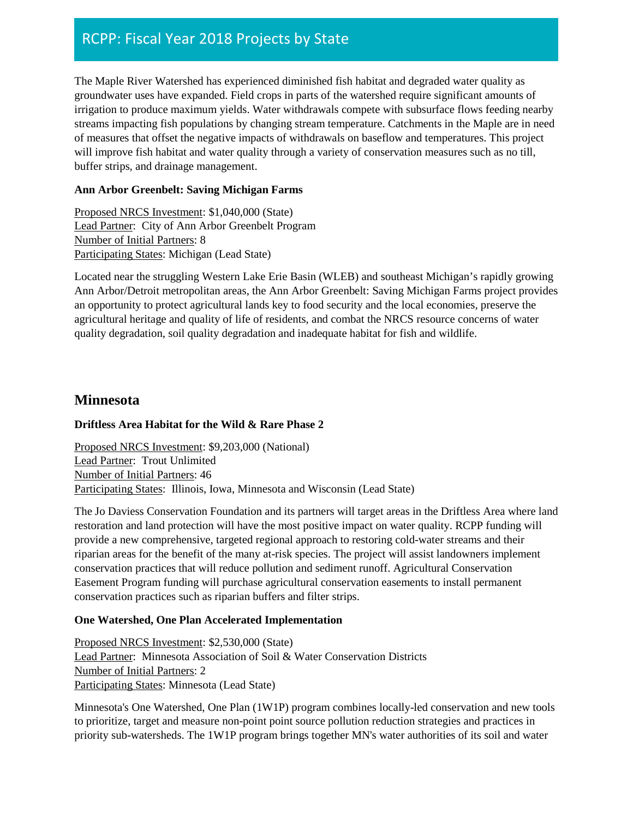The Maple River Watershed has experienced diminished fish habitat and degraded water quality as groundwater uses have expanded. Field crops in parts of the watershed require significant amounts of irrigation to produce maximum yields. Water withdrawals compete with subsurface flows feeding nearby streams impacting fish populations by changing stream temperature. Catchments in the Maple are in need of measures that offset the negative impacts of withdrawals on baseflow and temperatures. This project will improve fish habitat and water quality through a variety of conservation measures such as no till, buffer strips, and drainage management.

### **Ann Arbor Greenbelt: Saving Michigan Farms**

Proposed NRCS Investment: \$1,040,000 (State) Lead Partner: City of Ann Arbor Greenbelt Program Number of Initial Partners: 8 Participating States: Michigan (Lead State)

Located near the struggling Western Lake Erie Basin (WLEB) and southeast Michigan's rapidly growing Ann Arbor/Detroit metropolitan areas, the Ann Arbor Greenbelt: Saving Michigan Farms project provides an opportunity to protect agricultural lands key to food security and the local economies, preserve the agricultural heritage and quality of life of residents, and combat the NRCS resource concerns of water quality degradation, soil quality degradation and inadequate habitat for fish and wildlife.

### **Minnesota**

### **Driftless Area Habitat for the Wild & Rare Phase 2**

Proposed NRCS Investment: \$9,203,000 (National) Lead Partner: Trout Unlimited Number of Initial Partners: 46 Participating States: Illinois, Iowa, Minnesota and Wisconsin (Lead State)

The Jo Daviess Conservation Foundation and its partners will target areas in the Driftless Area where land restoration and land protection will have the most positive impact on water quality. RCPP funding will provide a new comprehensive, targeted regional approach to restoring cold-water streams and their riparian areas for the benefit of the many at-risk species. The project will assist landowners implement conservation practices that will reduce pollution and sediment runoff. Agricultural Conservation Easement Program funding will purchase agricultural conservation easements to install permanent conservation practices such as riparian buffers and filter strips.

### **One Watershed, One Plan Accelerated Implementation**

Proposed NRCS Investment: \$2,530,000 (State) Lead Partner: Minnesota Association of Soil & Water Conservation Districts Number of Initial Partners: 2 Participating States: Minnesota (Lead State)

Minnesota's One Watershed, One Plan (1W1P) program combines locally-led conservation and new tools to prioritize, target and measure non-point point source pollution reduction strategies and practices in priority sub-watersheds. The 1W1P program brings together MN's water authorities of its soil and water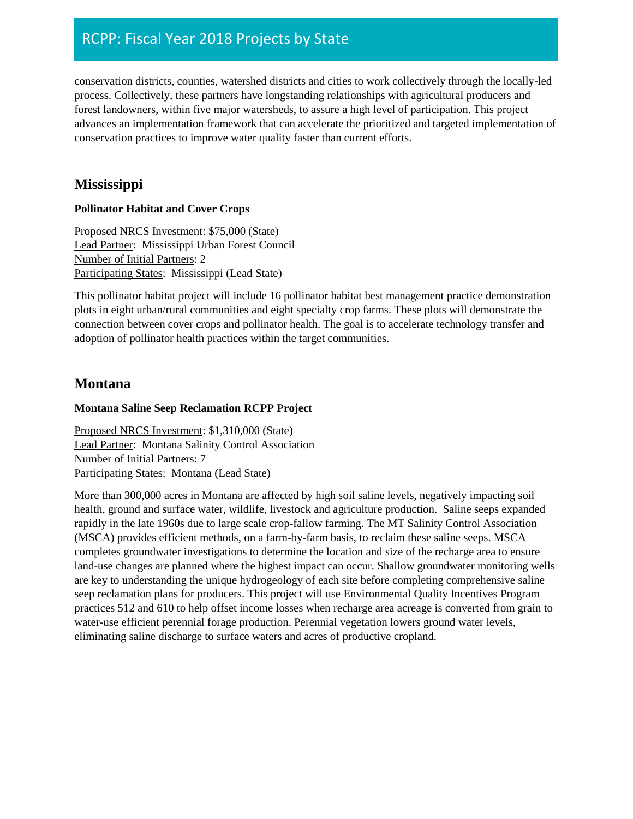conservation districts, counties, watershed districts and cities to work collectively through the locally-led process. Collectively, these partners have longstanding relationships with agricultural producers and forest landowners, within five major watersheds, to assure a high level of participation. This project advances an implementation framework that can accelerate the prioritized and targeted implementation of conservation practices to improve water quality faster than current efforts.

# **Mississippi**

### **Pollinator Habitat and Cover Crops**

Proposed NRCS Investment: \$75,000 (State) Lead Partner: Mississippi Urban Forest Council Number of Initial Partners: 2 Participating States: Mississippi (Lead State)

This pollinator habitat project will include 16 pollinator habitat best management practice demonstration plots in eight urban/rural communities and eight specialty crop farms. These plots will demonstrate the connection between cover crops and pollinator health. The goal is to accelerate technology transfer and adoption of pollinator health practices within the target communities.

# **Montana**

### **Montana Saline Seep Reclamation RCPP Project**

Proposed NRCS Investment: \$1,310,000 (State) Lead Partner: Montana Salinity Control Association Number of Initial Partners: 7 Participating States: Montana (Lead State)

More than 300,000 acres in Montana are affected by high soil saline levels, negatively impacting soil health, ground and surface water, wildlife, livestock and agriculture production. Saline seeps expanded rapidly in the late 1960s due to large scale crop-fallow farming. The MT Salinity Control Association (MSCA) provides efficient methods, on a farm-by-farm basis, to reclaim these saline seeps. MSCA completes groundwater investigations to determine the location and size of the recharge area to ensure land-use changes are planned where the highest impact can occur. Shallow groundwater monitoring wells are key to understanding the unique hydrogeology of each site before completing comprehensive saline seep reclamation plans for producers. This project will use Environmental Quality Incentives Program practices 512 and 610 to help offset income losses when recharge area acreage is converted from grain to water-use efficient perennial forage production. Perennial vegetation lowers ground water levels, eliminating saline discharge to surface waters and acres of productive cropland.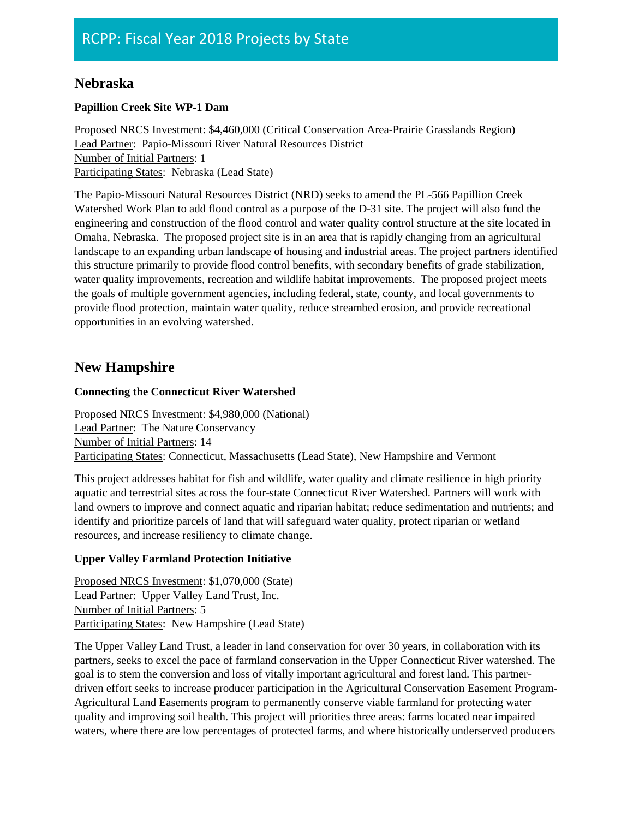## **Nebraska**

### **Papillion Creek Site WP-1 Dam**

Proposed NRCS Investment: \$4,460,000 (Critical Conservation Area-Prairie Grasslands Region) Lead Partner: Papio-Missouri River Natural Resources District Number of Initial Partners: 1 Participating States: Nebraska (Lead State)

The Papio-Missouri Natural Resources District (NRD) seeks to amend the PL-566 Papillion Creek Watershed Work Plan to add flood control as a purpose of the D-31 site. The project will also fund the engineering and construction of the flood control and water quality control structure at the site located in Omaha, Nebraska. The proposed project site is in an area that is rapidly changing from an agricultural landscape to an expanding urban landscape of housing and industrial areas. The project partners identified this structure primarily to provide flood control benefits, with secondary benefits of grade stabilization, water quality improvements, recreation and wildlife habitat improvements. The proposed project meets the goals of multiple government agencies, including federal, state, county, and local governments to provide flood protection, maintain water quality, reduce streambed erosion, and provide recreational opportunities in an evolving watershed.

# **New Hampshire**

### **Connecting the Connecticut River Watershed**

Proposed NRCS Investment: \$4,980,000 (National) Lead Partner: The Nature Conservancy Number of Initial Partners: 14 Participating States: Connecticut, Massachusetts (Lead State), New Hampshire and Vermont

This project addresses habitat for fish and wildlife, water quality and climate resilience in high priority aquatic and terrestrial sites across the four-state Connecticut River Watershed. Partners will work with land owners to improve and connect aquatic and riparian habitat; reduce sedimentation and nutrients; and identify and prioritize parcels of land that will safeguard water quality, protect riparian or wetland resources, and increase resiliency to climate change.

### **Upper Valley Farmland Protection Initiative**

Proposed NRCS Investment: \$1,070,000 (State) Lead Partner: Upper Valley Land Trust, Inc. Number of Initial Partners: 5 Participating States: New Hampshire (Lead State)

The Upper Valley Land Trust, a leader in land conservation for over 30 years, in collaboration with its partners, seeks to excel the pace of farmland conservation in the Upper Connecticut River watershed. The goal is to stem the conversion and loss of vitally important agricultural and forest land. This partnerdriven effort seeks to increase producer participation in the Agricultural Conservation Easement Program-Agricultural Land Easements program to permanently conserve viable farmland for protecting water quality and improving soil health. This project will priorities three areas: farms located near impaired waters, where there are low percentages of protected farms, and where historically underserved producers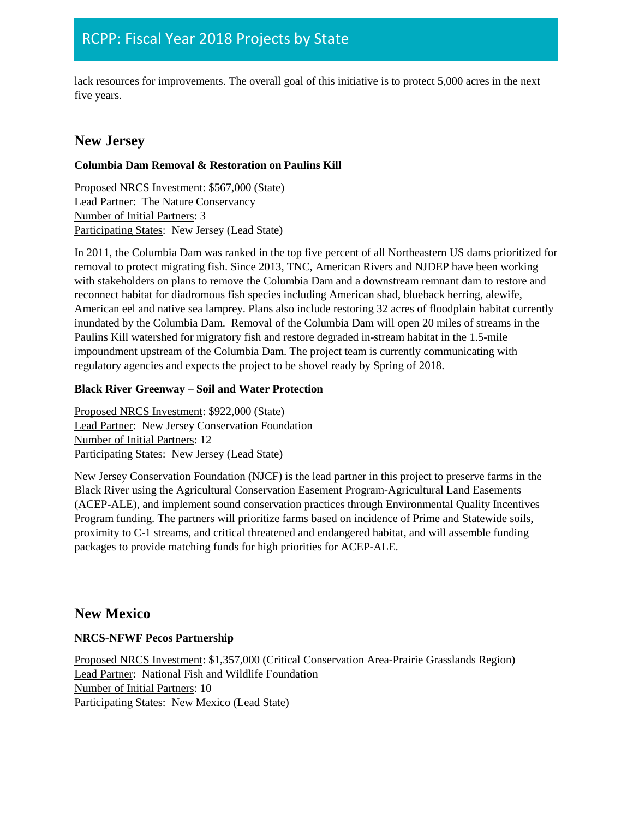lack resources for improvements. The overall goal of this initiative is to protect 5,000 acres in the next five years.

# **New Jersey**

### **Columbia Dam Removal & Restoration on Paulins Kill**

Proposed NRCS Investment: \$567,000 (State) Lead Partner: The Nature Conservancy Number of Initial Partners: 3 Participating States: New Jersey (Lead State)

In 2011, the Columbia Dam was ranked in the top five percent of all Northeastern US dams prioritized for removal to protect migrating fish. Since 2013, TNC, American Rivers and NJDEP have been working with stakeholders on plans to remove the Columbia Dam and a downstream remnant dam to restore and reconnect habitat for diadromous fish species including American shad, blueback herring, alewife, American eel and native sea lamprey. Plans also include restoring 32 acres of floodplain habitat currently inundated by the Columbia Dam. Removal of the Columbia Dam will open 20 miles of streams in the Paulins Kill watershed for migratory fish and restore degraded in-stream habitat in the 1.5-mile impoundment upstream of the Columbia Dam. The project team is currently communicating with regulatory agencies and expects the project to be shovel ready by Spring of 2018.

### **Black River Greenway – Soil and Water Protection**

Proposed NRCS Investment: \$922,000 (State) Lead Partner: New Jersey Conservation Foundation Number of Initial Partners: 12 Participating States: New Jersey (Lead State)

New Jersey Conservation Foundation (NJCF) is the lead partner in this project to preserve farms in the Black River using the Agricultural Conservation Easement Program-Agricultural Land Easements (ACEP-ALE), and implement sound conservation practices through Environmental Quality Incentives Program funding. The partners will prioritize farms based on incidence of Prime and Statewide soils, proximity to C-1 streams, and critical threatened and endangered habitat, and will assemble funding packages to provide matching funds for high priorities for ACEP-ALE.

# **New Mexico**

### **NRCS-NFWF Pecos Partnership**

Proposed NRCS Investment: \$1,357,000 (Critical Conservation Area-Prairie Grasslands Region) Lead Partner: National Fish and Wildlife Foundation Number of Initial Partners: 10 Participating States: New Mexico (Lead State)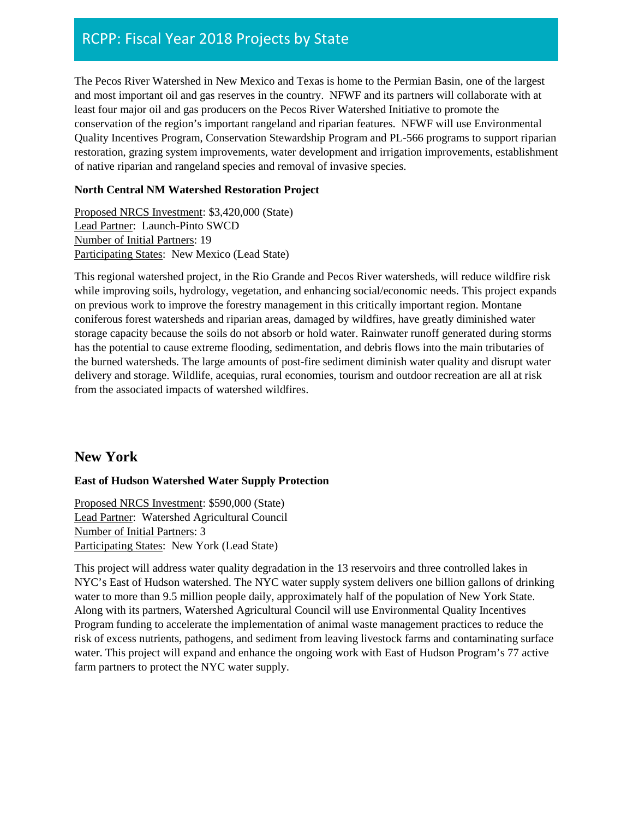The Pecos River Watershed in New Mexico and Texas is home to the Permian Basin, one of the largest and most important oil and gas reserves in the country. NFWF and its partners will collaborate with at least four major oil and gas producers on the Pecos River Watershed Initiative to promote the conservation of the region's important rangeland and riparian features. NFWF will use Environmental Quality Incentives Program, Conservation Stewardship Program and PL-566 programs to support riparian restoration, grazing system improvements, water development and irrigation improvements, establishment of native riparian and rangeland species and removal of invasive species.

### **North Central NM Watershed Restoration Project**

Proposed NRCS Investment: \$3,420,000 (State) Lead Partner: Launch-Pinto SWCD Number of Initial Partners: 19 Participating States: New Mexico (Lead State)

This regional watershed project, in the Rio Grande and Pecos River watersheds, will reduce wildfire risk while improving soils, hydrology, vegetation, and enhancing social/economic needs. This project expands on previous work to improve the forestry management in this critically important region. Montane coniferous forest watersheds and riparian areas, damaged by wildfires, have greatly diminished water storage capacity because the soils do not absorb or hold water. Rainwater runoff generated during storms has the potential to cause extreme flooding, sedimentation, and debris flows into the main tributaries of the burned watersheds. The large amounts of post-fire sediment diminish water quality and disrupt water delivery and storage. Wildlife, acequias, rural economies, tourism and outdoor recreation are all at risk from the associated impacts of watershed wildfires.

# **New York**

### **East of Hudson Watershed Water Supply Protection**

Proposed NRCS Investment: \$590,000 (State) Lead Partner: Watershed Agricultural Council Number of Initial Partners: 3 Participating States: New York (Lead State)

This project will address water quality degradation in the 13 reservoirs and three controlled lakes in NYC's East of Hudson watershed. The NYC water supply system delivers one billion gallons of drinking water to more than 9.5 million people daily, approximately half of the population of New York State. Along with its partners, Watershed Agricultural Council will use Environmental Quality Incentives Program funding to accelerate the implementation of animal waste management practices to reduce the risk of excess nutrients, pathogens, and sediment from leaving livestock farms and contaminating surface water. This project will expand and enhance the ongoing work with East of Hudson Program's 77 active farm partners to protect the NYC water supply.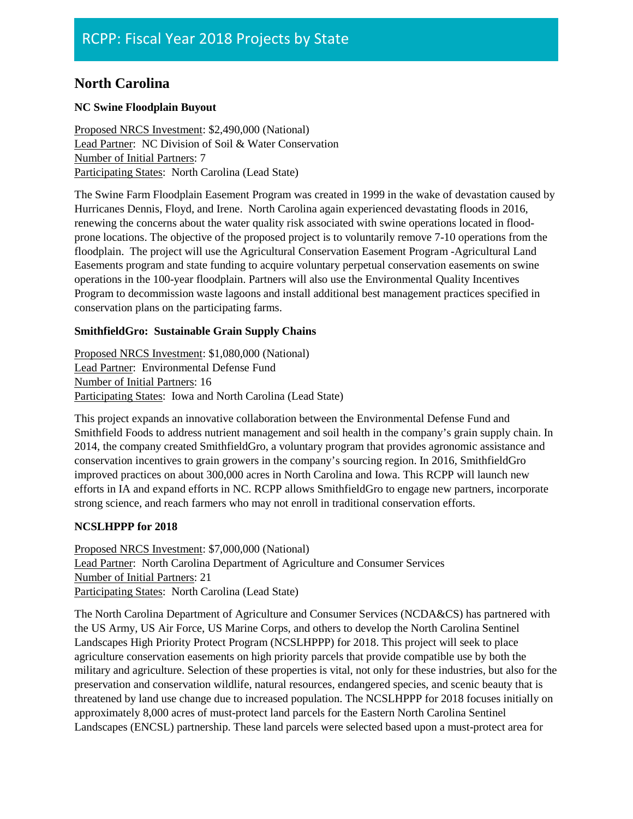# **North Carolina**

### **NC Swine Floodplain Buyout**

Proposed NRCS Investment: \$2,490,000 (National) Lead Partner: NC Division of Soil & Water Conservation Number of Initial Partners: 7 Participating States: North Carolina (Lead State)

The Swine Farm Floodplain Easement Program was created in 1999 in the wake of devastation caused by Hurricanes Dennis, Floyd, and Irene. North Carolina again experienced devastating floods in 2016, renewing the concerns about the water quality risk associated with swine operations located in floodprone locations. The objective of the proposed project is to voluntarily remove 7-10 operations from the floodplain. The project will use the Agricultural Conservation Easement Program -Agricultural Land Easements program and state funding to acquire voluntary perpetual conservation easements on swine operations in the 100-year floodplain. Partners will also use the Environmental Quality Incentives Program to decommission waste lagoons and install additional best management practices specified in conservation plans on the participating farms.

### **SmithfieldGro: Sustainable Grain Supply Chains**

Proposed NRCS Investment: \$1,080,000 (National) Lead Partner: Environmental Defense Fund Number of Initial Partners: 16 Participating States: Iowa and North Carolina (Lead State)

This project expands an innovative collaboration between the Environmental Defense Fund and Smithfield Foods to address nutrient management and soil health in the company's grain supply chain. In 2014, the company created SmithfieldGro, a voluntary program that provides agronomic assistance and conservation incentives to grain growers in the company's sourcing region. In 2016, SmithfieldGro improved practices on about 300,000 acres in North Carolina and Iowa. This RCPP will launch new efforts in IA and expand efforts in NC. RCPP allows SmithfieldGro to engage new partners, incorporate strong science, and reach farmers who may not enroll in traditional conservation efforts.

### **NCSLHPPP for 2018**

Proposed NRCS Investment: \$7,000,000 (National) Lead Partner: North Carolina Department of Agriculture and Consumer Services Number of Initial Partners: 21 Participating States: North Carolina (Lead State)

The North Carolina Department of Agriculture and Consumer Services (NCDA&CS) has partnered with the US Army, US Air Force, US Marine Corps, and others to develop the North Carolina Sentinel Landscapes High Priority Protect Program (NCSLHPPP) for 2018. This project will seek to place agriculture conservation easements on high priority parcels that provide compatible use by both the military and agriculture. Selection of these properties is vital, not only for these industries, but also for the preservation and conservation wildlife, natural resources, endangered species, and scenic beauty that is threatened by land use change due to increased population. The NCSLHPPP for 2018 focuses initially on approximately 8,000 acres of must-protect land parcels for the Eastern North Carolina Sentinel Landscapes (ENCSL) partnership. These land parcels were selected based upon a must-protect area for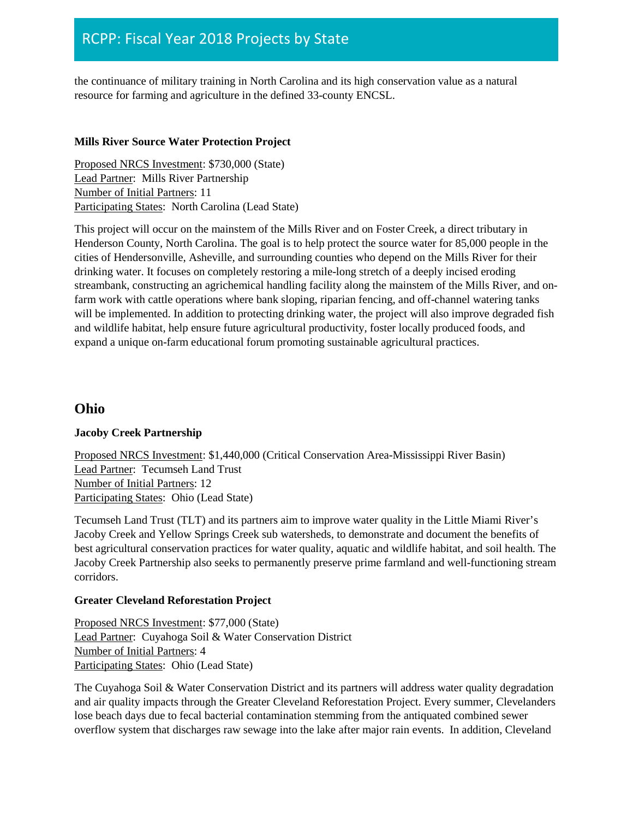the continuance of military training in North Carolina and its high conservation value as a natural resource for farming and agriculture in the defined 33-county ENCSL.

#### **Mills River Source Water Protection Project**

Proposed NRCS Investment: \$730,000 (State) Lead Partner: Mills River Partnership Number of Initial Partners: 11 Participating States: North Carolina (Lead State)

This project will occur on the mainstem of the Mills River and on Foster Creek, a direct tributary in Henderson County, North Carolina. The goal is to help protect the source water for 85,000 people in the cities of Hendersonville, Asheville, and surrounding counties who depend on the Mills River for their drinking water. It focuses on completely restoring a mile-long stretch of a deeply incised eroding streambank, constructing an agrichemical handling facility along the mainstem of the Mills River, and onfarm work with cattle operations where bank sloping, riparian fencing, and off-channel watering tanks will be implemented. In addition to protecting drinking water, the project will also improve degraded fish and wildlife habitat, help ensure future agricultural productivity, foster locally produced foods, and expand a unique on-farm educational forum promoting sustainable agricultural practices.

### **Ohio**

### **Jacoby Creek Partnership**

Proposed NRCS Investment: \$1,440,000 (Critical Conservation Area-Mississippi River Basin) Lead Partner: Tecumseh Land Trust Number of Initial Partners: 12 Participating States: Ohio (Lead State)

Tecumseh Land Trust (TLT) and its partners aim to improve water quality in the Little Miami River's Jacoby Creek and Yellow Springs Creek sub watersheds, to demonstrate and document the benefits of best agricultural conservation practices for water quality, aquatic and wildlife habitat, and soil health. The Jacoby Creek Partnership also seeks to permanently preserve prime farmland and well-functioning stream corridors.

#### **Greater Cleveland Reforestation Project**

Proposed NRCS Investment: \$77,000 (State) Lead Partner: Cuyahoga Soil & Water Conservation District Number of Initial Partners: 4 Participating States: Ohio (Lead State)

The Cuyahoga Soil & Water Conservation District and its partners will address water quality degradation and air quality impacts through the Greater Cleveland Reforestation Project. Every summer, Clevelanders lose beach days due to fecal bacterial contamination stemming from the antiquated combined sewer overflow system that discharges raw sewage into the lake after major rain events. In addition, Cleveland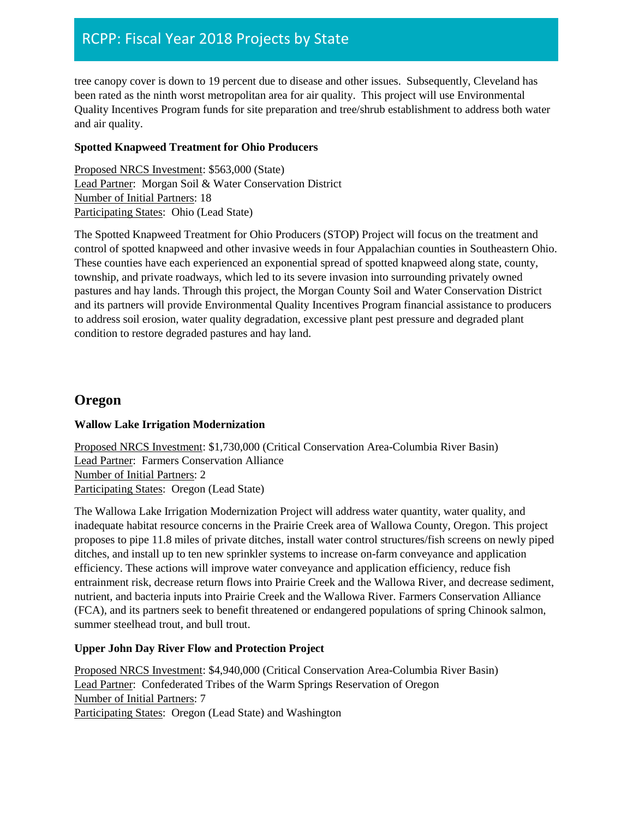tree canopy cover is down to 19 percent due to disease and other issues. Subsequently, Cleveland has been rated as the ninth worst metropolitan area for air quality. This project will use Environmental Quality Incentives Program funds for site preparation and tree/shrub establishment to address both water and air quality.

### **Spotted Knapweed Treatment for Ohio Producers**

Proposed NRCS Investment: \$563,000 (State) Lead Partner: Morgan Soil & Water Conservation District Number of Initial Partners: 18 Participating States: Ohio (Lead State)

The Spotted Knapweed Treatment for Ohio Producers (STOP) Project will focus on the treatment and control of spotted knapweed and other invasive weeds in four Appalachian counties in Southeastern Ohio. These counties have each experienced an exponential spread of spotted knapweed along state, county, township, and private roadways, which led to its severe invasion into surrounding privately owned pastures and hay lands. Through this project, the Morgan County Soil and Water Conservation District and its partners will provide Environmental Quality Incentives Program financial assistance to producers to address soil erosion, water quality degradation, excessive plant pest pressure and degraded plant condition to restore degraded pastures and hay land.

# **Oregon**

### **Wallow Lake Irrigation Modernization**

Proposed NRCS Investment: \$1,730,000 (Critical Conservation Area-Columbia River Basin) Lead Partner: Farmers Conservation Alliance Number of Initial Partners: 2 Participating States: Oregon (Lead State)

The Wallowa Lake Irrigation Modernization Project will address water quantity, water quality, and inadequate habitat resource concerns in the Prairie Creek area of Wallowa County, Oregon. This project proposes to pipe 11.8 miles of private ditches, install water control structures/fish screens on newly piped ditches, and install up to ten new sprinkler systems to increase on-farm conveyance and application efficiency. These actions will improve water conveyance and application efficiency, reduce fish entrainment risk, decrease return flows into Prairie Creek and the Wallowa River, and decrease sediment, nutrient, and bacteria inputs into Prairie Creek and the Wallowa River. Farmers Conservation Alliance (FCA), and its partners seek to benefit threatened or endangered populations of spring Chinook salmon, summer steelhead trout, and bull trout.

### **Upper John Day River Flow and Protection Project**

Proposed NRCS Investment: \$4,940,000 (Critical Conservation Area-Columbia River Basin) Lead Partner: Confederated Tribes of the Warm Springs Reservation of Oregon Number of Initial Partners: 7 Participating States: Oregon (Lead State) and Washington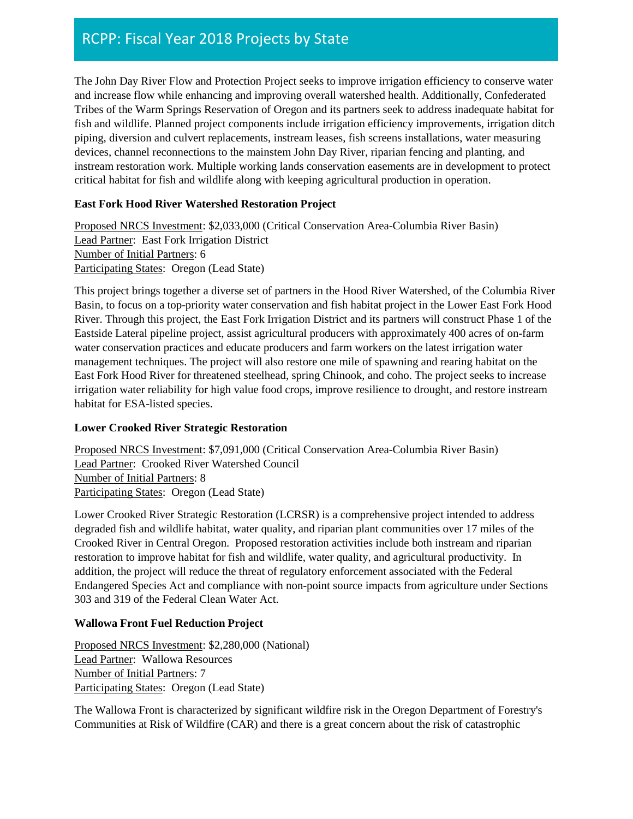The John Day River Flow and Protection Project seeks to improve irrigation efficiency to conserve water and increase flow while enhancing and improving overall watershed health. Additionally, Confederated Tribes of the Warm Springs Reservation of Oregon and its partners seek to address inadequate habitat for fish and wildlife. Planned project components include irrigation efficiency improvements, irrigation ditch piping, diversion and culvert replacements, instream leases, fish screens installations, water measuring devices, channel reconnections to the mainstem John Day River, riparian fencing and planting, and instream restoration work. Multiple working lands conservation easements are in development to protect critical habitat for fish and wildlife along with keeping agricultural production in operation.

### **East Fork Hood River Watershed Restoration Project**

Proposed NRCS Investment: \$2,033,000 (Critical Conservation Area-Columbia River Basin) Lead Partner: East Fork Irrigation District Number of Initial Partners: 6 Participating States: Oregon (Lead State)

This project brings together a diverse set of partners in the Hood River Watershed, of the Columbia River Basin, to focus on a top-priority water conservation and fish habitat project in the Lower East Fork Hood River. Through this project, the East Fork Irrigation District and its partners will construct Phase 1 of the Eastside Lateral pipeline project, assist agricultural producers with approximately 400 acres of on-farm water conservation practices and educate producers and farm workers on the latest irrigation water management techniques. The project will also restore one mile of spawning and rearing habitat on the East Fork Hood River for threatened steelhead, spring Chinook, and coho. The project seeks to increase irrigation water reliability for high value food crops, improve resilience to drought, and restore instream habitat for ESA-listed species.

### **Lower Crooked River Strategic Restoration**

Proposed NRCS Investment: \$7,091,000 (Critical Conservation Area-Columbia River Basin) Lead Partner: Crooked River Watershed Council Number of Initial Partners: 8 Participating States: Oregon (Lead State)

Lower Crooked River Strategic Restoration (LCRSR) is a comprehensive project intended to address degraded fish and wildlife habitat, water quality, and riparian plant communities over 17 miles of the Crooked River in Central Oregon. Proposed restoration activities include both instream and riparian restoration to improve habitat for fish and wildlife, water quality, and agricultural productivity. In addition, the project will reduce the threat of regulatory enforcement associated with the Federal Endangered Species Act and compliance with non-point source impacts from agriculture under Sections 303 and 319 of the Federal Clean Water Act.

### **Wallowa Front Fuel Reduction Project**

Proposed NRCS Investment: \$2,280,000 (National) Lead Partner: Wallowa Resources Number of Initial Partners: 7 Participating States: Oregon (Lead State)

The Wallowa Front is characterized by significant wildfire risk in the Oregon Department of Forestry's Communities at Risk of Wildfire (CAR) and there is a great concern about the risk of catastrophic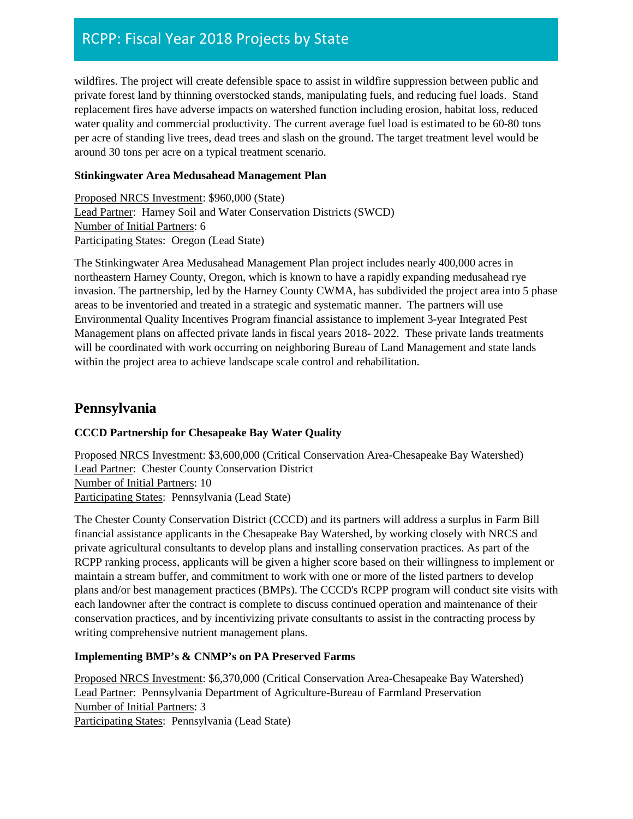wildfires. The project will create defensible space to assist in wildfire suppression between public and private forest land by thinning overstocked stands, manipulating fuels, and reducing fuel loads. Stand replacement fires have adverse impacts on watershed function including erosion, habitat loss, reduced water quality and commercial productivity. The current average fuel load is estimated to be 60-80 tons per acre of standing live trees, dead trees and slash on the ground. The target treatment level would be around 30 tons per acre on a typical treatment scenario.

#### **Stinkingwater Area Medusahead Management Plan**

Proposed NRCS Investment: \$960,000 (State) Lead Partner: Harney Soil and Water Conservation Districts (SWCD) Number of Initial Partners: 6 Participating States: Oregon (Lead State)

The Stinkingwater Area Medusahead Management Plan project includes nearly 400,000 acres in northeastern Harney County, Oregon, which is known to have a rapidly expanding medusahead rye invasion. The partnership, led by the Harney County CWMA, has subdivided the project area into 5 phase areas to be inventoried and treated in a strategic and systematic manner. The partners will use Environmental Quality Incentives Program financial assistance to implement 3-year Integrated Pest Management plans on affected private lands in fiscal years 2018- 2022. These private lands treatments will be coordinated with work occurring on neighboring Bureau of Land Management and state lands within the project area to achieve landscape scale control and rehabilitation.

### **Pennsylvania**

### **CCCD Partnership for Chesapeake Bay Water Quality**

Proposed NRCS Investment: \$3,600,000 (Critical Conservation Area-Chesapeake Bay Watershed) Lead Partner: Chester County Conservation District Number of Initial Partners: 10 Participating States: Pennsylvania (Lead State)

The Chester County Conservation District (CCCD) and its partners will address a surplus in Farm Bill financial assistance applicants in the Chesapeake Bay Watershed, by working closely with NRCS and private agricultural consultants to develop plans and installing conservation practices. As part of the RCPP ranking process, applicants will be given a higher score based on their willingness to implement or maintain a stream buffer, and commitment to work with one or more of the listed partners to develop plans and/or best management practices (BMPs). The CCCD's RCPP program will conduct site visits with each landowner after the contract is complete to discuss continued operation and maintenance of their conservation practices, and by incentivizing private consultants to assist in the contracting process by writing comprehensive nutrient management plans.

### **Implementing BMP's & CNMP's on PA Preserved Farms**

Proposed NRCS Investment: \$6,370,000 (Critical Conservation Area-Chesapeake Bay Watershed) Lead Partner: Pennsylvania Department of Agriculture-Bureau of Farmland Preservation Number of Initial Partners: 3 Participating States: Pennsylvania (Lead State)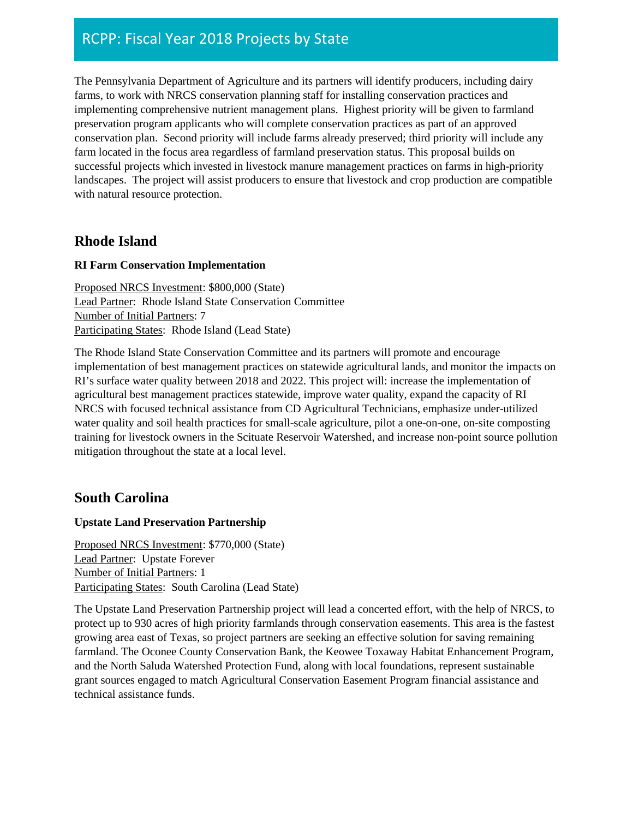The Pennsylvania Department of Agriculture and its partners will identify producers, including dairy farms, to work with NRCS conservation planning staff for installing conservation practices and implementing comprehensive nutrient management plans. Highest priority will be given to farmland preservation program applicants who will complete conservation practices as part of an approved conservation plan. Second priority will include farms already preserved; third priority will include any farm located in the focus area regardless of farmland preservation status. This proposal builds on successful projects which invested in livestock manure management practices on farms in high-priority landscapes. The project will assist producers to ensure that livestock and crop production are compatible with natural resource protection.

# **Rhode Island**

### **RI Farm Conservation Implementation**

Proposed NRCS Investment: \$800,000 (State) Lead Partner: Rhode Island State Conservation Committee Number of Initial Partners: 7 Participating States: Rhode Island (Lead State)

The Rhode Island State Conservation Committee and its partners will promote and encourage implementation of best management practices on statewide agricultural lands, and monitor the impacts on RI's surface water quality between 2018 and 2022. This project will: increase the implementation of agricultural best management practices statewide, improve water quality, expand the capacity of RI NRCS with focused technical assistance from CD Agricultural Technicians, emphasize under-utilized water quality and soil health practices for small-scale agriculture, pilot a one-on-one, on-site composting training for livestock owners in the Scituate Reservoir Watershed, and increase non-point source pollution mitigation throughout the state at a local level.

# **South Carolina**

### **Upstate Land Preservation Partnership**

Proposed NRCS Investment: \$770,000 (State) Lead Partner: Upstate Forever Number of Initial Partners: 1 Participating States: South Carolina (Lead State)

The Upstate Land Preservation Partnership project will lead a concerted effort, with the help of NRCS, to protect up to 930 acres of high priority farmlands through conservation easements. This area is the fastest growing area east of Texas, so project partners are seeking an effective solution for saving remaining farmland. The Oconee County Conservation Bank, the Keowee Toxaway Habitat Enhancement Program, and the North Saluda Watershed Protection Fund, along with local foundations, represent sustainable grant sources engaged to match Agricultural Conservation Easement Program financial assistance and technical assistance funds.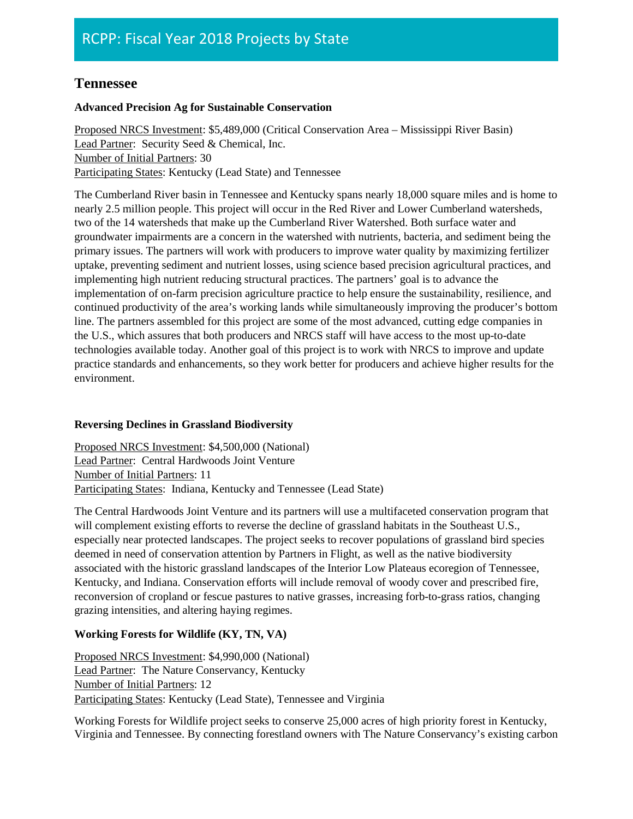# **Tennessee**

### **Advanced Precision Ag for Sustainable Conservation**

Proposed NRCS Investment: \$5,489,000 (Critical Conservation Area – Mississippi River Basin) Lead Partner: Security Seed & Chemical, Inc. Number of Initial Partners: 30 Participating States: Kentucky (Lead State) and Tennessee

The Cumberland River basin in Tennessee and Kentucky spans nearly 18,000 square miles and is home to nearly 2.5 million people. This project will occur in the Red River and Lower Cumberland watersheds, two of the 14 watersheds that make up the Cumberland River Watershed. Both surface water and groundwater impairments are a concern in the watershed with nutrients, bacteria, and sediment being the primary issues. The partners will work with producers to improve water quality by maximizing fertilizer uptake, preventing sediment and nutrient losses, using science based precision agricultural practices, and implementing high nutrient reducing structural practices. The partners' goal is to advance the implementation of on-farm precision agriculture practice to help ensure the sustainability, resilience, and continued productivity of the area's working lands while simultaneously improving the producer's bottom line. The partners assembled for this project are some of the most advanced, cutting edge companies in the U.S., which assures that both producers and NRCS staff will have access to the most up-to-date technologies available today. Another goal of this project is to work with NRCS to improve and update practice standards and enhancements, so they work better for producers and achieve higher results for the environment.

### **Reversing Declines in Grassland Biodiversity**

Proposed NRCS Investment: \$4,500,000 (National) Lead Partner: Central Hardwoods Joint Venture Number of Initial Partners: 11 Participating States: Indiana, Kentucky and Tennessee (Lead State)

The Central Hardwoods Joint Venture and its partners will use a multifaceted conservation program that will complement existing efforts to reverse the decline of grassland habitats in the Southeast U.S., especially near protected landscapes. The project seeks to recover populations of grassland bird species deemed in need of conservation attention by Partners in Flight, as well as the native biodiversity associated with the historic grassland landscapes of the Interior Low Plateaus ecoregion of Tennessee, Kentucky, and Indiana. Conservation efforts will include removal of woody cover and prescribed fire, reconversion of cropland or fescue pastures to native grasses, increasing forb-to-grass ratios, changing grazing intensities, and altering haying regimes.

### **Working Forests for Wildlife (KY, TN, VA)**

Proposed NRCS Investment: \$4,990,000 (National) Lead Partner: The Nature Conservancy, Kentucky Number of Initial Partners: 12 Participating States: Kentucky (Lead State), Tennessee and Virginia

Working Forests for Wildlife project seeks to conserve 25,000 acres of high priority forest in Kentucky, Virginia and Tennessee. By connecting forestland owners with The Nature Conservancy's existing carbon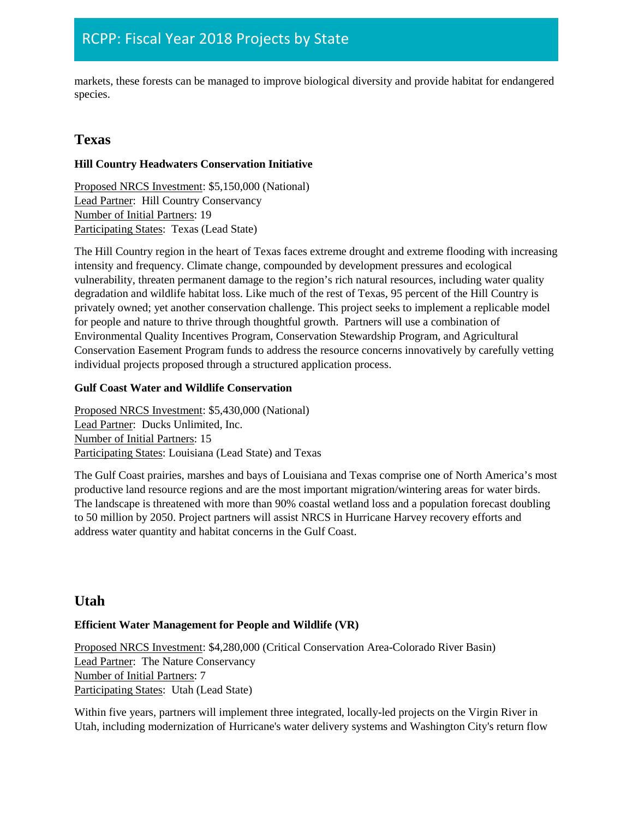markets, these forests can be managed to improve biological diversity and provide habitat for endangered species.

# **Texas**

### **Hill Country Headwaters Conservation Initiative**

Proposed NRCS Investment: \$5,150,000 (National) Lead Partner: Hill Country Conservancy Number of Initial Partners: 19 Participating States: Texas (Lead State)

The Hill Country region in the heart of Texas faces extreme drought and extreme flooding with increasing intensity and frequency. Climate change, compounded by development pressures and ecological vulnerability, threaten permanent damage to the region's rich natural resources, including water quality degradation and wildlife habitat loss. Like much of the rest of Texas, 95 percent of the Hill Country is privately owned; yet another conservation challenge. This project seeks to implement a replicable model for people and nature to thrive through thoughtful growth. Partners will use a combination of Environmental Quality Incentives Program, Conservation Stewardship Program, and Agricultural Conservation Easement Program funds to address the resource concerns innovatively by carefully vetting individual projects proposed through a structured application process.

### **Gulf Coast Water and Wildlife Conservation**

Proposed NRCS Investment: \$5,430,000 (National) Lead Partner: Ducks Unlimited, Inc. Number of Initial Partners: 15 Participating States: Louisiana (Lead State) and Texas

The Gulf Coast prairies, marshes and bays of Louisiana and Texas comprise one of North America's most productive land resource regions and are the most important migration/wintering areas for water birds. The landscape is threatened with more than 90% coastal wetland loss and a population forecast doubling to 50 million by 2050. Project partners will assist NRCS in Hurricane Harvey recovery efforts and address water quantity and habitat concerns in the Gulf Coast.

# **Utah**

### **Efficient Water Management for People and Wildlife (VR)**

Proposed NRCS Investment: \$4,280,000 (Critical Conservation Area-Colorado River Basin) Lead Partner: The Nature Conservancy Number of Initial Partners: 7 Participating States: Utah (Lead State)

Within five years, partners will implement three integrated, locally-led projects on the Virgin River in Utah, including modernization of Hurricane's water delivery systems and Washington City's return flow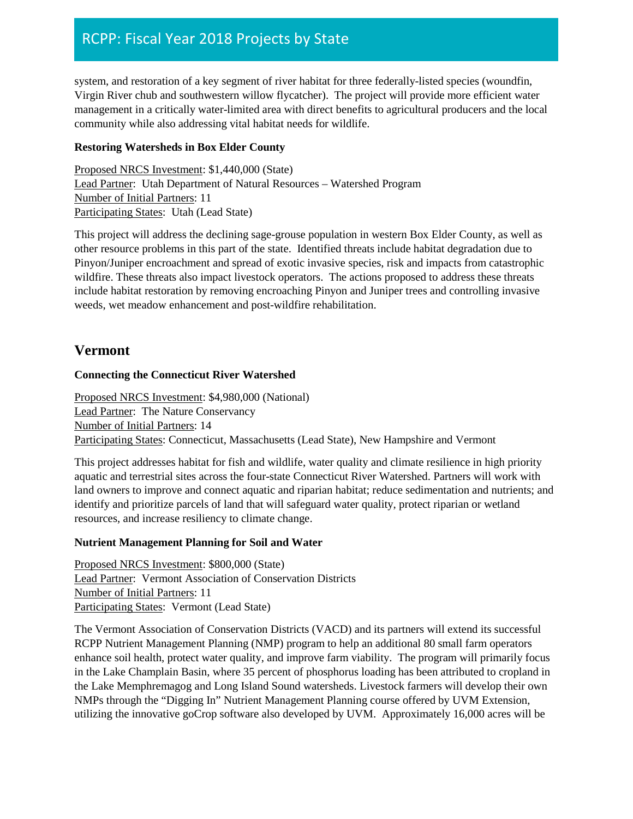system, and restoration of a key segment of river habitat for three federally-listed species (woundfin, Virgin River chub and southwestern willow flycatcher). The project will provide more efficient water management in a critically water-limited area with direct benefits to agricultural producers and the local community while also addressing vital habitat needs for wildlife.

### **Restoring Watersheds in Box Elder County**

Proposed NRCS Investment: \$1,440,000 (State) Lead Partner: Utah Department of Natural Resources – Watershed Program Number of Initial Partners: 11 Participating States: Utah (Lead State)

This project will address the declining sage-grouse population in western Box Elder County, as well as other resource problems in this part of the state. Identified threats include habitat degradation due to Pinyon/Juniper encroachment and spread of exotic invasive species, risk and impacts from catastrophic wildfire. These threats also impact livestock operators. The actions proposed to address these threats include habitat restoration by removing encroaching Pinyon and Juniper trees and controlling invasive weeds, wet meadow enhancement and post-wildfire rehabilitation.

### **Vermont**

### **Connecting the Connecticut River Watershed**

Proposed NRCS Investment: \$4,980,000 (National) Lead Partner: The Nature Conservancy Number of Initial Partners: 14 Participating States: Connecticut, Massachusetts (Lead State), New Hampshire and Vermont

This project addresses habitat for fish and wildlife, water quality and climate resilience in high priority aquatic and terrestrial sites across the four-state Connecticut River Watershed. Partners will work with land owners to improve and connect aquatic and riparian habitat; reduce sedimentation and nutrients; and identify and prioritize parcels of land that will safeguard water quality, protect riparian or wetland resources, and increase resiliency to climate change.

### **Nutrient Management Planning for Soil and Water**

Proposed NRCS Investment: \$800,000 (State) Lead Partner: Vermont Association of Conservation Districts Number of Initial Partners: 11 Participating States: Vermont (Lead State)

The Vermont Association of Conservation Districts (VACD) and its partners will extend its successful RCPP Nutrient Management Planning (NMP) program to help an additional 80 small farm operators enhance soil health, protect water quality, and improve farm viability. The program will primarily focus in the Lake Champlain Basin, where 35 percent of phosphorus loading has been attributed to cropland in the Lake Memphremagog and Long Island Sound watersheds. Livestock farmers will develop their own NMPs through the "Digging In" Nutrient Management Planning course offered by UVM Extension, utilizing the innovative goCrop software also developed by UVM. Approximately 16,000 acres will be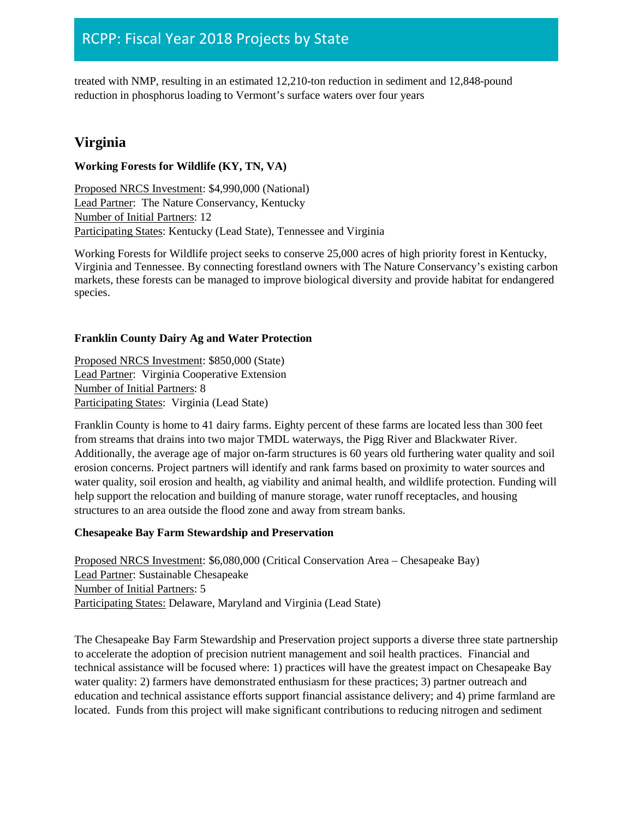treated with NMP, resulting in an estimated 12,210-ton reduction in sediment and 12,848-pound reduction in phosphorus loading to Vermont's surface waters over four years

# **Virginia**

### **Working Forests for Wildlife (KY, TN, VA)**

Proposed NRCS Investment: \$4,990,000 (National) Lead Partner: The Nature Conservancy, Kentucky Number of Initial Partners: 12 Participating States: Kentucky (Lead State), Tennessee and Virginia

Working Forests for Wildlife project seeks to conserve 25,000 acres of high priority forest in Kentucky, Virginia and Tennessee. By connecting forestland owners with The Nature Conservancy's existing carbon markets, these forests can be managed to improve biological diversity and provide habitat for endangered species.

### **Franklin County Dairy Ag and Water Protection**

Proposed NRCS Investment: \$850,000 (State) Lead Partner: Virginia Cooperative Extension Number of Initial Partners: 8 Participating States: Virginia (Lead State)

Franklin County is home to 41 dairy farms. Eighty percent of these farms are located less than 300 feet from streams that drains into two major TMDL waterways, the Pigg River and Blackwater River. Additionally, the average age of major on-farm structures is 60 years old furthering water quality and soil erosion concerns. Project partners will identify and rank farms based on proximity to water sources and water quality, soil erosion and health, ag viability and animal health, and wildlife protection. Funding will help support the relocation and building of manure storage, water runoff receptacles, and housing structures to an area outside the flood zone and away from stream banks.

### **Chesapeake Bay Farm Stewardship and Preservation**

Proposed NRCS Investment: \$6,080,000 (Critical Conservation Area – Chesapeake Bay) Lead Partner: Sustainable Chesapeake Number of Initial Partners: 5 Participating States: Delaware, Maryland and Virginia (Lead State)

The Chesapeake Bay Farm Stewardship and Preservation project supports a diverse three state partnership to accelerate the adoption of precision nutrient management and soil health practices. Financial and technical assistance will be focused where: 1) practices will have the greatest impact on Chesapeake Bay water quality: 2) farmers have demonstrated enthusiasm for these practices; 3) partner outreach and education and technical assistance efforts support financial assistance delivery; and 4) prime farmland are located. Funds from this project will make significant contributions to reducing nitrogen and sediment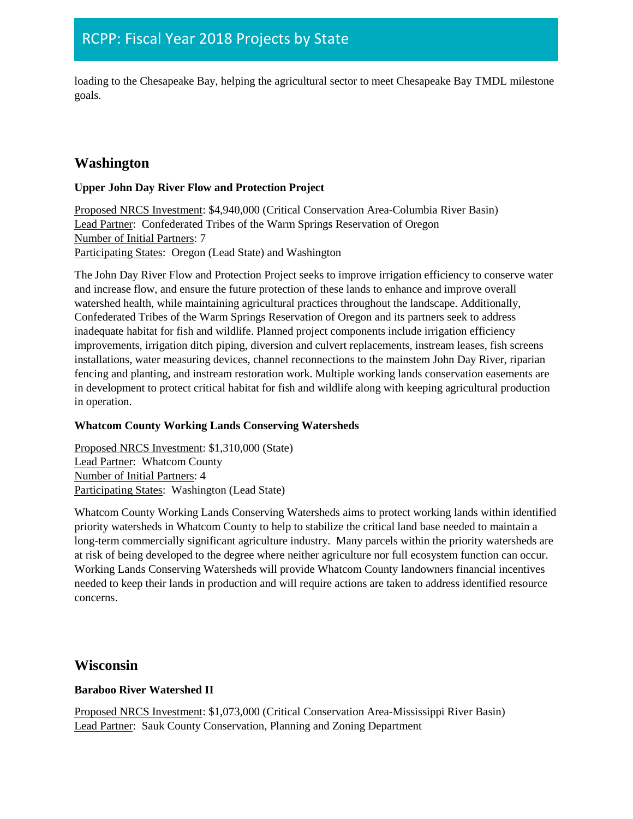loading to the Chesapeake Bay, helping the agricultural sector to meet Chesapeake Bay TMDL milestone goals.

# **Washington**

### **Upper John Day River Flow and Protection Project**

Proposed NRCS Investment: \$4,940,000 (Critical Conservation Area-Columbia River Basin) Lead Partner: Confederated Tribes of the Warm Springs Reservation of Oregon Number of Initial Partners: 7 Participating States: Oregon (Lead State) and Washington

The John Day River Flow and Protection Project seeks to improve irrigation efficiency to conserve water and increase flow, and ensure the future protection of these lands to enhance and improve overall watershed health, while maintaining agricultural practices throughout the landscape. Additionally, Confederated Tribes of the Warm Springs Reservation of Oregon and its partners seek to address inadequate habitat for fish and wildlife. Planned project components include irrigation efficiency improvements, irrigation ditch piping, diversion and culvert replacements, instream leases, fish screens installations, water measuring devices, channel reconnections to the mainstem John Day River, riparian fencing and planting, and instream restoration work. Multiple working lands conservation easements are in development to protect critical habitat for fish and wildlife along with keeping agricultural production in operation.

### **Whatcom County Working Lands Conserving Watersheds**

Proposed NRCS Investment: \$1,310,000 (State) Lead Partner: Whatcom County Number of Initial Partners: 4 Participating States: Washington (Lead State)

Whatcom County Working Lands Conserving Watersheds aims to protect working lands within identified priority watersheds in Whatcom County to help to stabilize the critical land base needed to maintain a long-term commercially significant agriculture industry. Many parcels within the priority watersheds are at risk of being developed to the degree where neither agriculture nor full ecosystem function can occur. Working Lands Conserving Watersheds will provide Whatcom County landowners financial incentives needed to keep their lands in production and will require actions are taken to address identified resource concerns.

# **Wisconsin**

### **Baraboo River Watershed II**

Proposed NRCS Investment: \$1,073,000 (Critical Conservation Area-Mississippi River Basin) Lead Partner: Sauk County Conservation, Planning and Zoning Department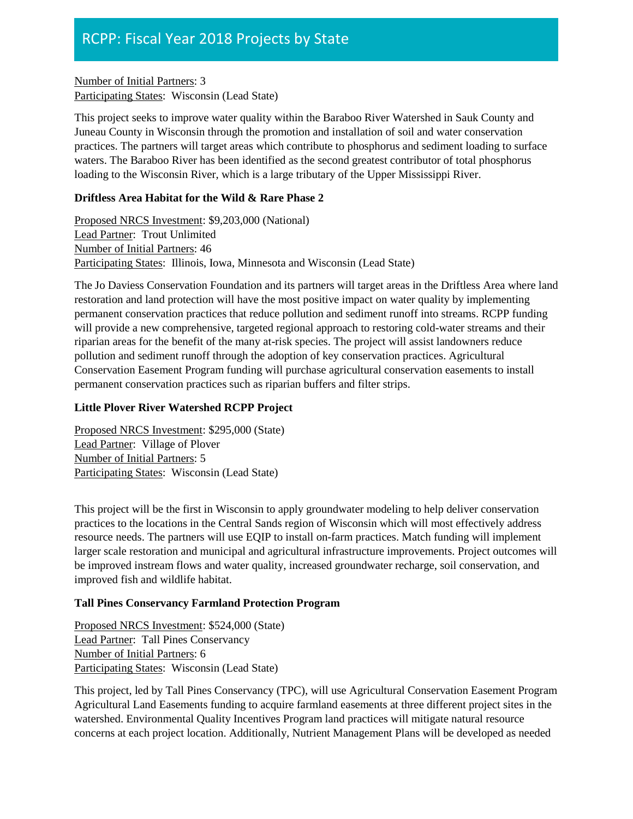Number of Initial Partners: 3 Participating States: Wisconsin (Lead State)

This project seeks to improve water quality within the Baraboo River Watershed in Sauk County and Juneau County in Wisconsin through the promotion and installation of soil and water conservation practices. The partners will target areas which contribute to phosphorus and sediment loading to surface waters. The Baraboo River has been identified as the second greatest contributor of total phosphorus loading to the Wisconsin River, which is a large tributary of the Upper Mississippi River.

### **Driftless Area Habitat for the Wild & Rare Phase 2**

Proposed NRCS Investment: \$9,203,000 (National) Lead Partner: Trout Unlimited Number of Initial Partners: 46 Participating States: Illinois, Iowa, Minnesota and Wisconsin (Lead State)

The Jo Daviess Conservation Foundation and its partners will target areas in the Driftless Area where land restoration and land protection will have the most positive impact on water quality by implementing permanent conservation practices that reduce pollution and sediment runoff into streams. RCPP funding will provide a new comprehensive, targeted regional approach to restoring cold-water streams and their riparian areas for the benefit of the many at-risk species. The project will assist landowners reduce pollution and sediment runoff through the adoption of key conservation practices. Agricultural Conservation Easement Program funding will purchase agricultural conservation easements to install permanent conservation practices such as riparian buffers and filter strips.

### **Little Plover River Watershed RCPP Project**

Proposed NRCS Investment: \$295,000 (State) Lead Partner: Village of Plover Number of Initial Partners: 5 Participating States: Wisconsin (Lead State)

This project will be the first in Wisconsin to apply groundwater modeling to help deliver conservation practices to the locations in the Central Sands region of Wisconsin which will most effectively address resource needs. The partners will use EQIP to install on-farm practices. Match funding will implement larger scale restoration and municipal and agricultural infrastructure improvements. Project outcomes will be improved instream flows and water quality, increased groundwater recharge, soil conservation, and improved fish and wildlife habitat.

### **Tall Pines Conservancy Farmland Protection Program**

Proposed NRCS Investment: \$524,000 (State) Lead Partner: Tall Pines Conservancy Number of Initial Partners: 6 Participating States: Wisconsin (Lead State)

This project, led by Tall Pines Conservancy (TPC), will use Agricultural Conservation Easement Program Agricultural Land Easements funding to acquire farmland easements at three different project sites in the watershed. Environmental Quality Incentives Program land practices will mitigate natural resource concerns at each project location. Additionally, Nutrient Management Plans will be developed as needed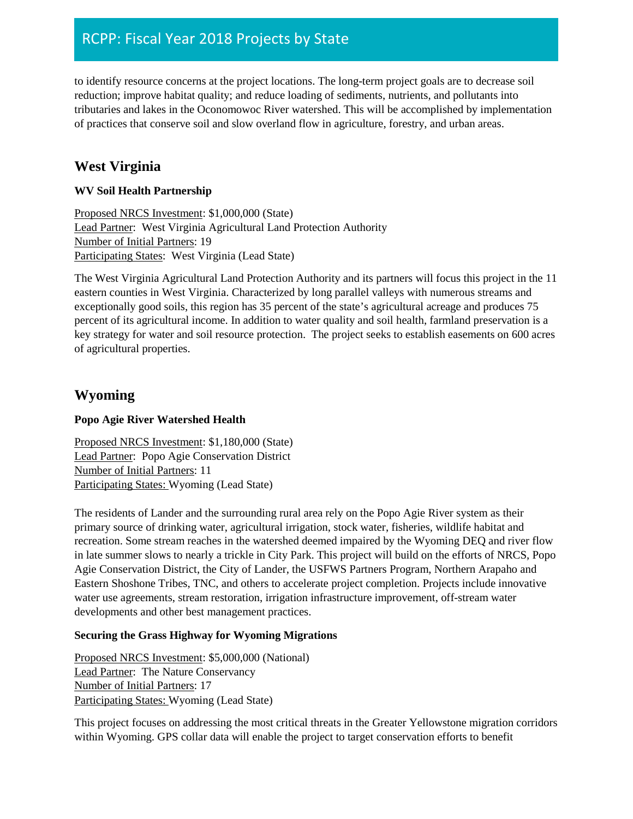to identify resource concerns at the project locations. The long-term project goals are to decrease soil reduction; improve habitat quality; and reduce loading of sediments, nutrients, and pollutants into tributaries and lakes in the Oconomowoc River watershed. This will be accomplished by implementation of practices that conserve soil and slow overland flow in agriculture, forestry, and urban areas.

# **West Virginia**

### **WV Soil Health Partnership**

Proposed NRCS Investment: \$1,000,000 (State) Lead Partner: West Virginia Agricultural Land Protection Authority Number of Initial Partners: 19 Participating States: West Virginia (Lead State)

The West Virginia Agricultural Land Protection Authority and its partners will focus this project in the 11 eastern counties in West Virginia. Characterized by long parallel valleys with numerous streams and exceptionally good soils, this region has 35 percent of the state's agricultural acreage and produces 75 percent of its agricultural income. In addition to water quality and soil health, farmland preservation is a key strategy for water and soil resource protection. The project seeks to establish easements on 600 acres of agricultural properties.

# **Wyoming**

### **Popo Agie River Watershed Health**

Proposed NRCS Investment: \$1,180,000 (State) Lead Partner: Popo Agie Conservation District Number of Initial Partners: 11 Participating States: Wyoming (Lead State)

The residents of Lander and the surrounding rural area rely on the Popo Agie River system as their primary source of drinking water, agricultural irrigation, stock water, fisheries, wildlife habitat and recreation. Some stream reaches in the watershed deemed impaired by the Wyoming DEQ and river flow in late summer slows to nearly a trickle in City Park. This project will build on the efforts of NRCS, Popo Agie Conservation District, the City of Lander, the USFWS Partners Program, Northern Arapaho and Eastern Shoshone Tribes, TNC, and others to accelerate project completion. Projects include innovative water use agreements, stream restoration, irrigation infrastructure improvement, off-stream water developments and other best management practices.

### **Securing the Grass Highway for Wyoming Migrations**

Proposed NRCS Investment: \$5,000,000 (National) Lead Partner: The Nature Conservancy Number of Initial Partners: 17 Participating States: Wyoming (Lead State)

This project focuses on addressing the most critical threats in the Greater Yellowstone migration corridors within Wyoming. GPS collar data will enable the project to target conservation efforts to benefit